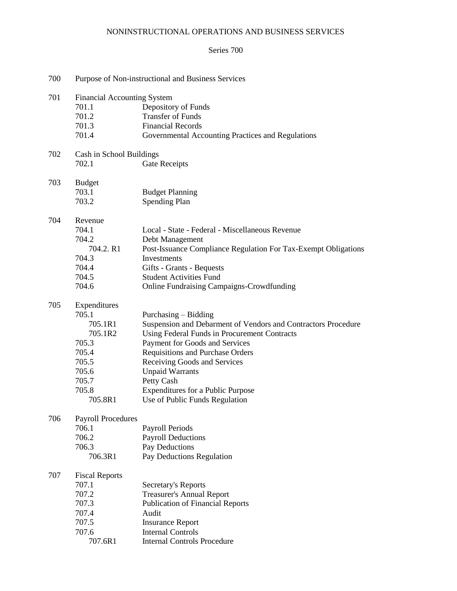# NONINSTRUCTIONAL OPERATIONS AND BUSINESS SERVICES

## Series 700

| 700 | Purpose of Non-instructional and Business Services |                                                                |  |  |  |
|-----|----------------------------------------------------|----------------------------------------------------------------|--|--|--|
| 701 | <b>Financial Accounting System</b>                 |                                                                |  |  |  |
|     | 701.1                                              | Depository of Funds                                            |  |  |  |
|     | 701.2                                              | <b>Transfer of Funds</b>                                       |  |  |  |
|     | 701.3                                              | <b>Financial Records</b>                                       |  |  |  |
|     | 701.4                                              | Governmental Accounting Practices and Regulations              |  |  |  |
| 702 |                                                    | Cash in School Buildings                                       |  |  |  |
|     | 702.1                                              | Gate Receipts                                                  |  |  |  |
|     |                                                    |                                                                |  |  |  |
| 703 | <b>Budget</b>                                      |                                                                |  |  |  |
|     | 703.1                                              | <b>Budget Planning</b>                                         |  |  |  |
|     | 703.2                                              | Spending Plan                                                  |  |  |  |
| 704 | Revenue                                            |                                                                |  |  |  |
|     | 704.1                                              | Local - State - Federal - Miscellaneous Revenue                |  |  |  |
|     | 704.2                                              | Debt Management                                                |  |  |  |
|     | 704.2. R1                                          | Post-Issuance Compliance Regulation For Tax-Exempt Obligations |  |  |  |
|     | 704.3                                              | Investments                                                    |  |  |  |
|     | 704.4                                              | Gifts - Grants - Bequests                                      |  |  |  |
|     | 704.5                                              | <b>Student Activities Fund</b>                                 |  |  |  |
|     | 704.6                                              | <b>Online Fundraising Campaigns-Crowdfunding</b>               |  |  |  |
| 705 | Expenditures                                       |                                                                |  |  |  |
|     | 705.1                                              | Purchasing – Bidding                                           |  |  |  |
|     | 705.1R1                                            | Suspension and Debarment of Vendors and Contractors Procedure  |  |  |  |
|     | 705.1R2                                            | Using Federal Funds in Procurement Contracts                   |  |  |  |
|     | 705.3                                              | Payment for Goods and Services                                 |  |  |  |
|     | 705.4                                              | Requisitions and Purchase Orders                               |  |  |  |
|     | 705.5                                              | Receiving Goods and Services                                   |  |  |  |
|     | 705.6                                              | <b>Unpaid Warrants</b>                                         |  |  |  |
|     | 705.7                                              | Petty Cash                                                     |  |  |  |
|     | 705.8                                              | <b>Expenditures for a Public Purpose</b>                       |  |  |  |
|     | 705.8R1                                            | Use of Public Funds Regulation                                 |  |  |  |
| 706 |                                                    |                                                                |  |  |  |
|     | <b>Payroll Procedures</b>                          |                                                                |  |  |  |
|     | 706.1                                              | Payroll Periods                                                |  |  |  |
|     | 706.2                                              | <b>Payroll Deductions</b>                                      |  |  |  |
|     | 706.3                                              | Pay Deductions                                                 |  |  |  |
|     | 706.3R1                                            | Pay Deductions Regulation                                      |  |  |  |
| 707 | <b>Fiscal Reports</b>                              |                                                                |  |  |  |
|     | 707.1                                              | Secretary's Reports                                            |  |  |  |
|     | 707.2                                              | <b>Treasurer's Annual Report</b>                               |  |  |  |
|     | 707.3                                              | <b>Publication of Financial Reports</b>                        |  |  |  |
|     | 707.4                                              | Audit                                                          |  |  |  |
|     | 707.5                                              | <b>Insurance Report</b>                                        |  |  |  |
|     | 707.6                                              | <b>Internal Controls</b>                                       |  |  |  |
|     | 707.6R1                                            | <b>Internal Controls Procedure</b>                             |  |  |  |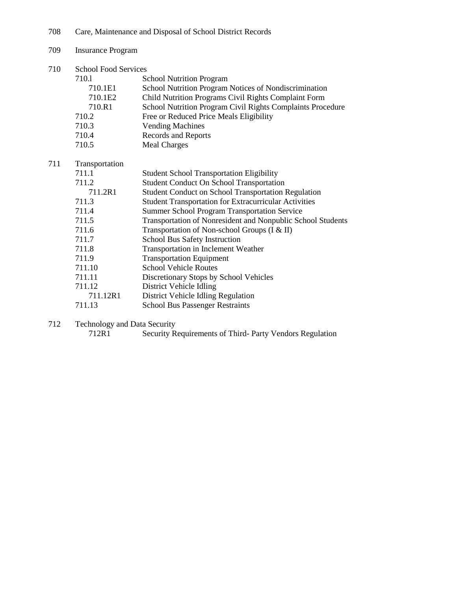708 Care, Maintenance and Disposal of School District Records

| 709 | <b>Insurance Program</b> |
|-----|--------------------------|
|-----|--------------------------|

710 School Food Services

 $711$ 

| 710.1          | <b>School Nutrition Program</b>                              |
|----------------|--------------------------------------------------------------|
| 710.1E1        | School Nutrition Program Notices of Nondiscrimination        |
| 710.1E2        | Child Nutrition Programs Civil Rights Complaint Form         |
| 710.R1         | School Nutrition Program Civil Rights Complaints Procedure   |
| 710.2          | Free or Reduced Price Meals Eligibility                      |
| 710.3          | <b>Vending Machines</b>                                      |
| 710.4          | Records and Reports                                          |
| 710.5          | <b>Meal Charges</b>                                          |
| Transportation |                                                              |
| 711.1          | <b>Student School Transportation Eligibility</b>             |
| 711.2          | <b>Student Conduct On School Transportation</b>              |
| 711.2R1        | <b>Student Conduct on School Transportation Regulation</b>   |
| 711.3          | <b>Student Transportation for Extracurricular Activities</b> |
| 711.4          | <b>Summer School Program Transportation Service</b>          |
| 711.5          | Transportation of Nonresident and Nonpublic School Students  |
| 711.6          | Transportation of Non-school Groups (I & II)                 |
| 711.7          | School Bus Safety Instruction                                |
| 711.8          | Transportation in Inclement Weather                          |
| 711.9          | <b>Transportation Equipment</b>                              |
| 711.10         | <b>School Vehicle Routes</b>                                 |
| 711.11         | Discretionary Stops by School Vehicles                       |
| 711.12         | District Vehicle Idling                                      |
| 711.12R1       | District Vehicle Idling Regulation                           |
| 711.13         | <b>School Bus Passenger Restraints</b>                       |

712 Technology and Data Security<br>712R1 Security R

Security Requirements of Third- Party Vendors Regulation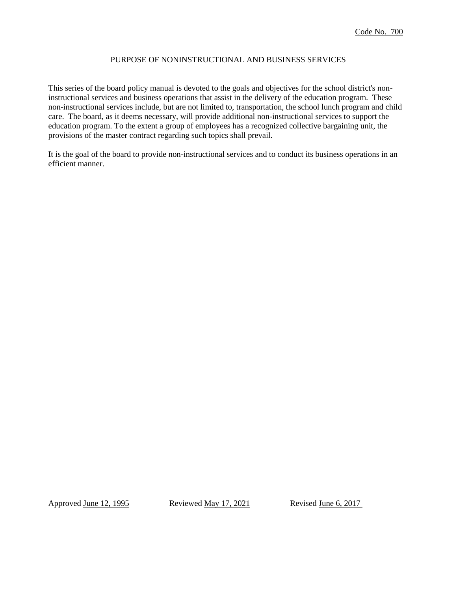# PURPOSE OF NONINSTRUCTIONAL AND BUSINESS SERVICES

This series of the board policy manual is devoted to the goals and objectives for the school district's noninstructional services and business operations that assist in the delivery of the education program. These non-instructional services include, but are not limited to, transportation, the school lunch program and child care. The board, as it deems necessary, will provide additional non-instructional services to support the education program. To the extent a group of employees has a recognized collective bargaining unit, the provisions of the master contract regarding such topics shall prevail.

It is the goal of the board to provide non-instructional services and to conduct its business operations in an efficient manner.

Approved <u>June 12, 1995</u> Reviewed <u>May 17, 2021</u> Revised <u>June 6, 2017</u>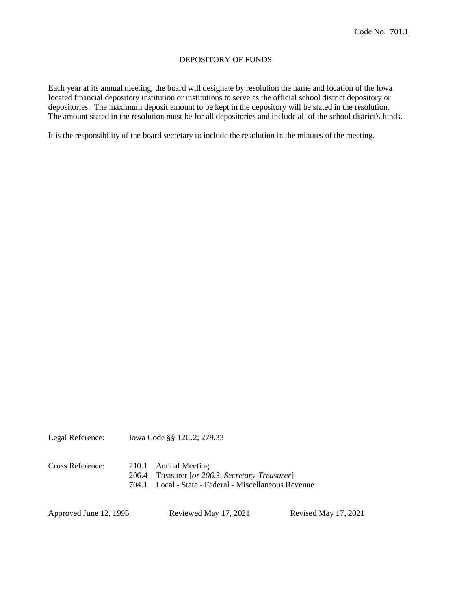# DEPOSITORY OF FUNDS

Each year at its annual meeting, the board will designate by resolution the name and location of the Iowa located financial depository institution or institutions to serve as the official school district depository or depositories. The maximum deposit amount to be kept in the depository will be stated in the resolution. The amount stated in the resolution must be for all depositories and include all of the school district's funds.

It is the responsibility of the board secretary to include the resolution in the minutes of the meeting.

Legal Reference: Iowa Code §§ 12C.2; 279.33

Cross Reference: 210.1 Annual Meeting 206.4 Treasurer [*or 206.3, Secretary-Treasurer*] 704.1 Local - State - Federal - Miscellaneous Revenue

Approved <u>June 12, 1995</u> Reviewed <u>May 17, 2021</u> Revised <u>May 17, 2021</u>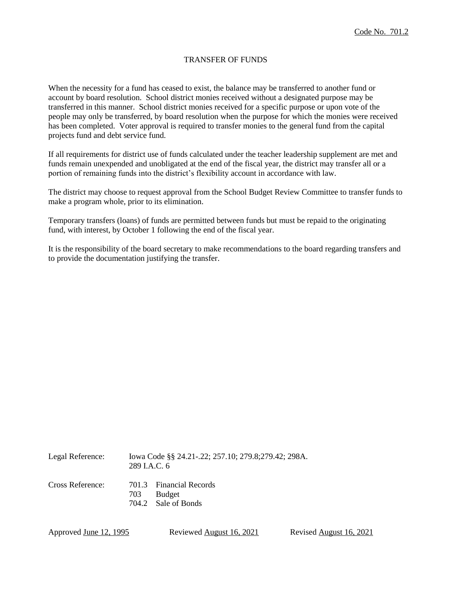# TRANSFER OF FUNDS

When the necessity for a fund has ceased to exist, the balance may be transferred to another fund or account by board resolution. School district monies received without a designated purpose may be transferred in this manner. School district monies received for a specific purpose or upon vote of the people may only be transferred, by board resolution when the purpose for which the monies were received has been completed. Voter approval is required to transfer monies to the general fund from the capital projects fund and debt service fund.

If all requirements for district use of funds calculated under the teacher leadership supplement are met and funds remain unexpended and unobligated at the end of the fiscal year, the district may transfer all or a portion of remaining funds into the district's flexibility account in accordance with law.

The district may choose to request approval from the School Budget Review Committee to transfer funds to make a program whole, prior to its elimination.

Temporary transfers (loans) of funds are permitted between funds but must be repaid to the originating fund, with interest, by October 1 following the end of the fiscal year.

It is the responsibility of the board secretary to make recommendations to the board regarding transfers and to provide the documentation justifying the transfer.

Legal Reference: Iowa Code §§ 24.21-.22; 257.10; 279.8;279.42; 298A.  $289 I A C. 6$ Cross Reference: 701.3 Financial Records 703 Budget 704.2 Sale of Bonds

Approved June 12, 1995 Reviewed August 16, 2021 Revised August 16, 2021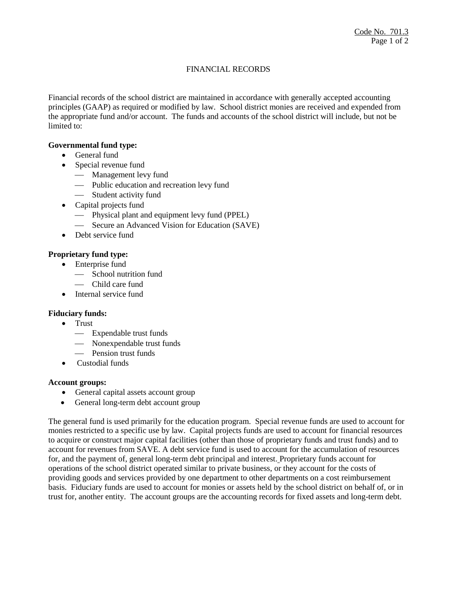# FINANCIAL RECORDS

Financial records of the school district are maintained in accordance with generally accepted accounting principles (GAAP) as required or modified by law. School district monies are received and expended from the appropriate fund and/or account. The funds and accounts of the school district will include, but not be limited to:

## **Governmental fund type:**

- General fund
- Special revenue fund
	- Management levy fund
	- Public education and recreation levy fund
	- Student activity fund
- Capital projects fund
	- Physical plant and equipment levy fund (PPEL)
	- Secure an Advanced Vision for Education (SAVE)
- Debt service fund

## **Proprietary fund type:**

- Enterprise fund
	- School nutrition fund
	- Child care fund
- Internal service fund

## **Fiduciary funds:**

- Trust
	- Expendable trust funds
	- Nonexpendable trust funds
	- Pension trust funds
- Custodial funds

## **Account groups:**

- General capital assets account group
- General long-term debt account group

The general fund is used primarily for the education program. Special revenue funds are used to account for monies restricted to a specific use by law. Capital projects funds are used to account for financial resources to acquire or construct major capital facilities (other than those of proprietary funds and trust funds) and to account for revenues from SAVE. A debt service fund is used to account for the accumulation of resources for, and the payment of, general long-term debt principal and interest. Proprietary funds account for operations of the school district operated similar to private business, or they account for the costs of providing goods and services provided by one department to other departments on a cost reimbursement basis. Fiduciary funds are used to account for monies or assets held by the school district on behalf of, or in trust for, another entity. The account groups are the accounting records for fixed assets and long-term debt.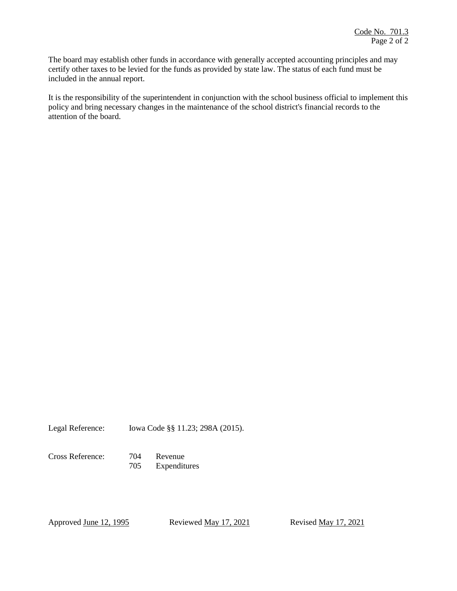The board may establish other funds in accordance with generally accepted accounting principles and may certify other taxes to be levied for the funds as provided by state law. The status of each fund must be included in the annual report.

It is the responsibility of the superintendent in conjunction with the school business official to implement this policy and bring necessary changes in the maintenance of the school district's financial records to the attention of the board.

Legal Reference: Iowa Code §§ 11.23; 298A (2015).

Cross Reference: 704 Revenue

705 Expenditures

Approved <u>June 12, 1995</u> Reviewed <u>May 17, 2021</u> Revised May 17, 2021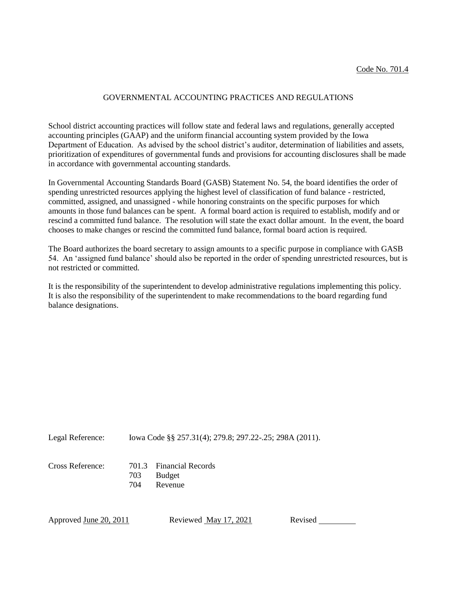#### GOVERNMENTAL ACCOUNTING PRACTICES AND REGULATIONS

School district accounting practices will follow state and federal laws and regulations, generally accepted accounting principles (GAAP) and the uniform financial accounting system provided by the Iowa Department of Education. As advised by the school district's auditor, determination of liabilities and assets, prioritization of expenditures of governmental funds and provisions for accounting disclosures shall be made in accordance with governmental accounting standards.

In Governmental Accounting Standards Board (GASB) Statement No. 54, the board identifies the order of spending unrestricted resources applying the highest level of classification of fund balance - restricted, committed, assigned, and unassigned - while honoring constraints on the specific purposes for which amounts in those fund balances can be spent. A formal board action is required to establish, modify and or rescind a committed fund balance. The resolution will state the exact dollar amount. In the event, the board chooses to make changes or rescind the committed fund balance, formal board action is required.

The Board authorizes the board secretary to assign amounts to a specific purpose in compliance with GASB 54. An 'assigned fund balance' should also be reported in the order of spending unrestricted resources, but is not restricted or committed.

It is the responsibility of the superintendent to develop administrative regulations implementing this policy. It is also the responsibility of the superintendent to make recommendations to the board regarding fund balance designations.

Legal Reference: Iowa Code §§ 257.31(4); 279.8; 297.22-.25; 298A (2011).

Cross Reference: 701.3 Financial Records 703 Budget 704 Revenue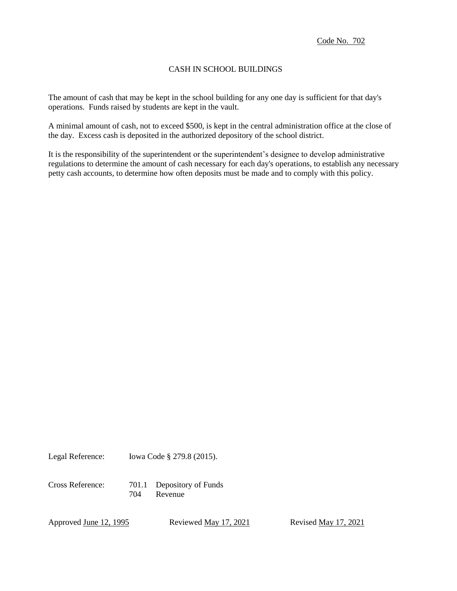# CASH IN SCHOOL BUILDINGS

The amount of cash that may be kept in the school building for any one day is sufficient for that day's operations. Funds raised by students are kept in the vault.

A minimal amount of cash, not to exceed \$500, is kept in the central administration office at the close of the day. Excess cash is deposited in the authorized depository of the school district.

It is the responsibility of the superintendent or the superintendent's designee to develop administrative regulations to determine the amount of cash necessary for each day's operations, to establish any necessary petty cash accounts, to determine how often deposits must be made and to comply with this policy.

Legal Reference: Iowa Code § 279.8 (2015).

Cross Reference: 701.1 Depository of Funds 704 Revenue

Approved <u>June 12, 1995</u> Reviewed <u>May 17, 2021</u> Revised May 17, 2021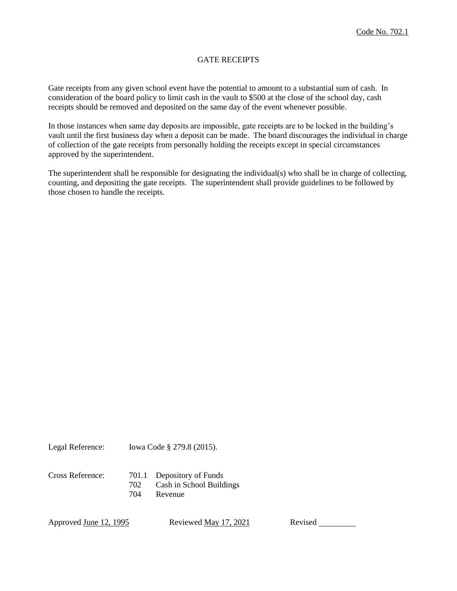# GATE RECEIPTS

Gate receipts from any given school event have the potential to amount to a substantial sum of cash. In consideration of the board policy to limit cash in the vault to \$500 at the close of the school day, cash receipts should be removed and deposited on the same day of the event whenever possible.

In those instances when same day deposits are impossible, gate receipts are to be locked in the building's vault until the first business day when a deposit can be made. The board discourages the individual in charge of collection of the gate receipts from personally holding the receipts except in special circumstances approved by the superintendent.

The superintendent shall be responsible for designating the individual(s) who shall be in charge of collecting, counting, and depositing the gate receipts. The superintendent shall provide guidelines to be followed by those chosen to handle the receipts.

Legal Reference: Iowa Code § 279.8 (2015).

| Cross Reference: |     | 701.1 Depository of Funds |
|------------------|-----|---------------------------|
|                  | 702 | Cash in School Buildings  |
|                  | 704 | Revenue                   |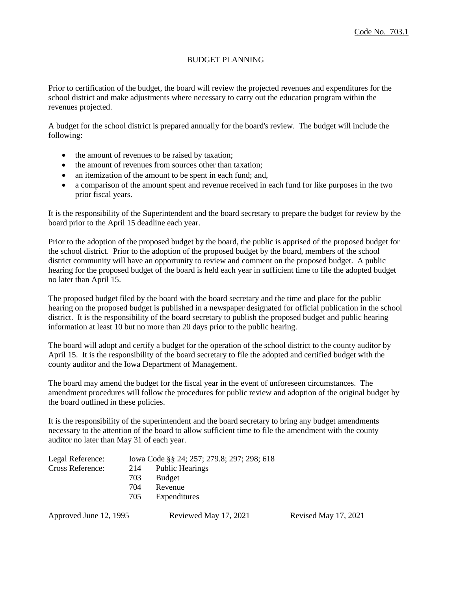# BUDGET PLANNING

Prior to certification of the budget, the board will review the projected revenues and expenditures for the school district and make adjustments where necessary to carry out the education program within the revenues projected.

A budget for the school district is prepared annually for the board's review. The budget will include the following:

- the amount of revenues to be raised by taxation;
- the amount of revenues from sources other than taxation;
- an itemization of the amount to be spent in each fund; and,
- a comparison of the amount spent and revenue received in each fund for like purposes in the two prior fiscal years.

It is the responsibility of the Superintendent and the board secretary to prepare the budget for review by the board prior to the April 15 deadline each year.

Prior to the adoption of the proposed budget by the board, the public is apprised of the proposed budget for the school district. Prior to the adoption of the proposed budget by the board, members of the school district community will have an opportunity to review and comment on the proposed budget. A public hearing for the proposed budget of the board is held each year in sufficient time to file the adopted budget no later than April 15.

The proposed budget filed by the board with the board secretary and the time and place for the public hearing on the proposed budget is published in a newspaper designated for official publication in the school district. It is the responsibility of the board secretary to publish the proposed budget and public hearing information at least 10 but no more than 20 days prior to the public hearing.

The board will adopt and certify a budget for the operation of the school district to the county auditor by April 15. It is the responsibility of the board secretary to file the adopted and certified budget with the county auditor and the Iowa Department of Management.

The board may amend the budget for the fiscal year in the event of unforeseen circumstances. The amendment procedures will follow the procedures for public review and adoption of the original budget by the board outlined in these policies.

It is the responsibility of the superintendent and the board secretary to bring any budget amendments necessary to the attention of the board to allow sufficient time to file the amendment with the county auditor no later than May 31 of each year.

| Legal Reference: | Iowa Code §§ 24; 257; 279.8; 297; 298; 618 |                     |  |
|------------------|--------------------------------------------|---------------------|--|
| Cross Reference: |                                            | 214 Public Hearings |  |
|                  | 703                                        | Budget              |  |
|                  | 704                                        | Revenue             |  |
|                  | 705                                        | Expenditures        |  |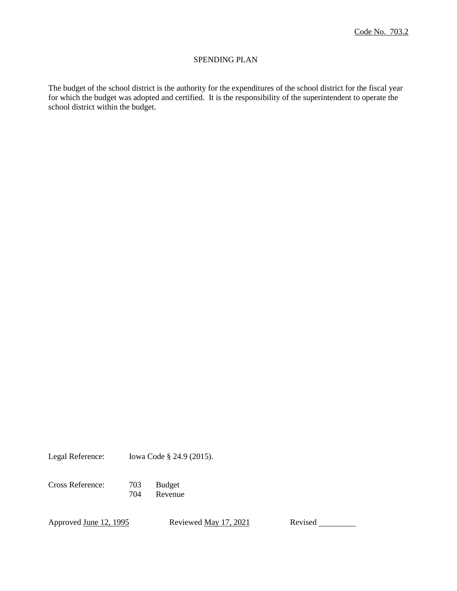### SPENDING PLAN

The budget of the school district is the authority for the expenditures of the school district for the fiscal year for which the budget was adopted and certified. It is the responsibility of the superintendent to operate the school district within the budget.

Legal Reference: Iowa Code § 24.9 (2015).

Cross Reference: 703 Budget

704 Revenue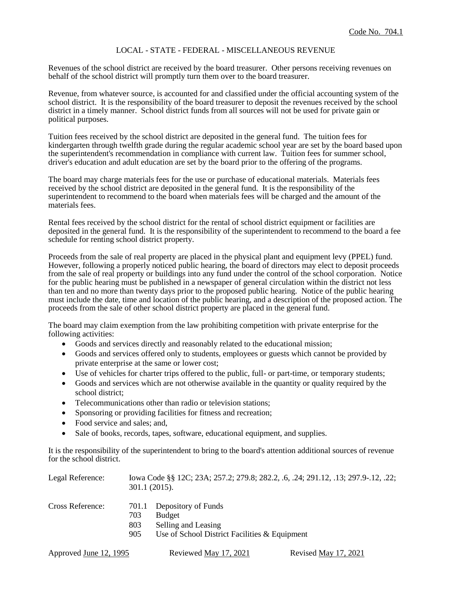## LOCAL - STATE - FEDERAL - MISCELLANEOUS REVENUE

Revenues of the school district are received by the board treasurer. Other persons receiving revenues on behalf of the school district will promptly turn them over to the board treasurer.

Revenue, from whatever source, is accounted for and classified under the official accounting system of the school district. It is the responsibility of the board treasurer to deposit the revenues received by the school district in a timely manner. School district funds from all sources will not be used for private gain or political purposes.

Tuition fees received by the school district are deposited in the general fund. The tuition fees for kindergarten through twelfth grade during the regular academic school year are set by the board based upon the superintendent's recommendation in compliance with current law. Tuition fees for summer school, driver's education and adult education are set by the board prior to the offering of the programs.

The board may charge materials fees for the use or purchase of educational materials. Materials fees received by the school district are deposited in the general fund. It is the responsibility of the superintendent to recommend to the board when materials fees will be charged and the amount of the materials fees.

Rental fees received by the school district for the rental of school district equipment or facilities are deposited in the general fund. It is the responsibility of the superintendent to recommend to the board a fee schedule for renting school district property.

Proceeds from the sale of real property are placed in the physical plant and equipment levy (PPEL) fund. However, following a properly noticed public hearing, the board of directors may elect to deposit proceeds from the sale of real property or buildings into any fund under the control of the school corporation. Notice for the public hearing must be published in a newspaper of general circulation within the district not less than ten and no more than twenty days prior to the proposed public hearing. Notice of the public hearing must include the date, time and location of the public hearing, and a description of the proposed action. The proceeds from the sale of other school district property are placed in the general fund.

The board may claim exemption from the law prohibiting competition with private enterprise for the following activities:

- Goods and services directly and reasonably related to the educational mission;
- Goods and services offered only to students, employees or guests which cannot be provided by private enterprise at the same or lower cost;
- Use of vehicles for charter trips offered to the public, full- or part-time, or temporary students;
- Goods and services which are not otherwise available in the quantity or quality required by the school district;
- Telecommunications other than radio or television stations;
- Sponsoring or providing facilities for fitness and recreation;
- Food service and sales; and,
- Sale of books, records, tapes, software, educational equipment, and supplies.

It is the responsibility of the superintendent to bring to the board's attention additional sources of revenue for the school district.

| Legal Reference: | lowa Code §§ 12C; 23A; 257.2; 279.8; 282.2, .6, .24; 291.12, .13; 297.9-.12, .22;<br>$301.1(2015)$ . |                                                                                                              |  |
|------------------|------------------------------------------------------------------------------------------------------|--------------------------------------------------------------------------------------------------------------|--|
| Cross Reference: | 701.1<br>703<br>803<br>905                                                                           | Depository of Funds<br><b>Budget</b><br>Selling and Leasing<br>Use of School District Facilities & Equipment |  |

| Approved June 12, 1995 | Reviewed May 17, 2021 | Revised May 17, 2021 |
|------------------------|-----------------------|----------------------|
|                        |                       |                      |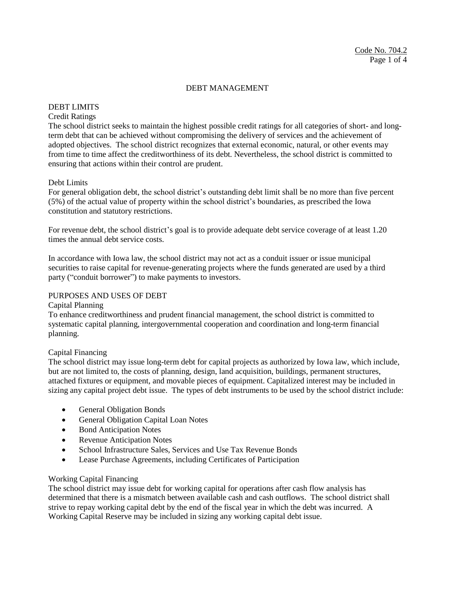# DEBT LIMITS

# Credit Ratings

The school district seeks to maintain the highest possible credit ratings for all categories of short- and longterm debt that can be achieved without compromising the delivery of services and the achievement of adopted objectives. The school district recognizes that external economic, natural, or other events may from time to time affect the creditworthiness of its debt. Nevertheless, the school district is committed to ensuring that actions within their control are prudent.

## Debt Limits

For general obligation debt, the school district's outstanding debt limit shall be no more than five percent (5%) of the actual value of property within the school district's boundaries, as prescribed the Iowa constitution and statutory restrictions.

For revenue debt, the school district's goal is to provide adequate debt service coverage of at least 1.20 times the annual debt service costs.

In accordance with Iowa law, the school district may not act as a conduit issuer or issue municipal securities to raise capital for revenue-generating projects where the funds generated are used by a third party ("conduit borrower") to make payments to investors.

#### PURPOSES AND USES OF DEBT

#### Capital Planning

To enhance creditworthiness and prudent financial management, the school district is committed to systematic capital planning, intergovernmental cooperation and coordination and long-term financial planning.

## Capital Financing

The school district may issue long-term debt for capital projects as authorized by Iowa law, which include, but are not limited to, the costs of planning, design, land acquisition, buildings, permanent structures, attached fixtures or equipment, and movable pieces of equipment. Capitalized interest may be included in sizing any capital project debt issue. The types of debt instruments to be used by the school district include:

- General Obligation Bonds
- General Obligation Capital Loan Notes
- Bond Anticipation Notes
- Revenue Anticipation Notes
- School Infrastructure Sales, Services and Use Tax Revenue Bonds
- Lease Purchase Agreements, including Certificates of Participation

## Working Capital Financing

The school district may issue debt for working capital for operations after cash flow analysis has determined that there is a mismatch between available cash and cash outflows. The school district shall strive to repay working capital debt by the end of the fiscal year in which the debt was incurred. A Working Capital Reserve may be included in sizing any working capital debt issue.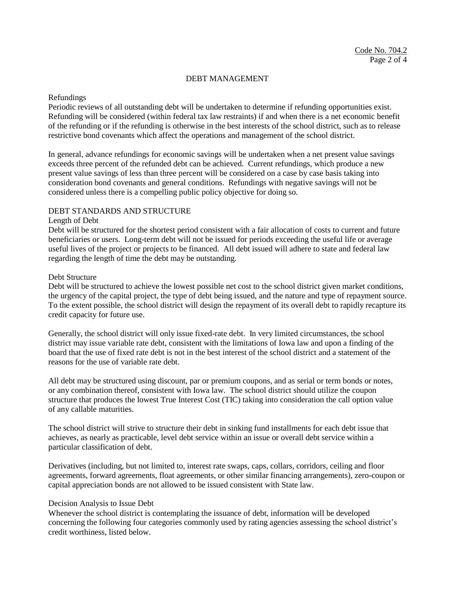#### Refundings

Periodic reviews of all outstanding debt will be undertaken to determine if refunding opportunities exist. Refunding will be considered (within federal tax law restraints) if and when there is a net economic benefit of the refunding or if the refunding is otherwise in the best interests of the school district, such as to release restrictive bond covenants which affect the operations and management of the school district.

In general, advance refundings for economic savings will be undertaken when a net present value savings exceeds three percent of the refunded debt can be achieved. Current refundings, which produce a new present value savings of less than three percent will be considered on a case by case basis taking into consideration bond covenants and general conditions. Refundings with negative savings will not be considered unless there is a compelling public policy objective for doing so.

#### DEBT STANDARDS AND STRUCTURE

#### Length of Debt

Debt will be structured for the shortest period consistent with a fair allocation of costs to current and future beneficiaries or users. Long-term debt will not be issued for periods exceeding the useful life or average useful lives of the project or projects to be financed. All debt issued will adhere to state and federal law regarding the length of time the debt may be outstanding.

#### Debt Structure

Debt will be structured to achieve the lowest possible net cost to the school district given market conditions, the urgency of the capital project, the type of debt being issued, and the nature and type of repayment source. To the extent possible, the school district will design the repayment of its overall debt to rapidly recapture its credit capacity for future use.

Generally, the school district will only issue fixed-rate debt. In very limited circumstances, the school district may issue variable rate debt, consistent with the limitations of Iowa law and upon a finding of the board that the use of fixed rate debt is not in the best interest of the school district and a statement of the reasons for the use of variable rate debt.

All debt may be structured using discount, par or premium coupons, and as serial or term bonds or notes, or any combination thereof, consistent with Iowa law. The school district should utilize the coupon structure that produces the lowest True Interest Cost (TIC) taking into consideration the call option value of any callable maturities.

The school district will strive to structure their debt in sinking fund installments for each debt issue that achieves, as nearly as practicable, level debt service within an issue or overall debt service within a particular classification of debt.

Derivatives (including, but not limited to, interest rate swaps, caps, collars, corridors, ceiling and floor agreements, forward agreements, float agreements, or other similar financing arrangements), zero-coupon or capital appreciation bonds are not allowed to be issued consistent with State law.

#### Decision Analysis to Issue Debt

Whenever the school district is contemplating the issuance of debt, information will be developed concerning the following four categories commonly used by rating agencies assessing the school district's credit worthiness, listed below.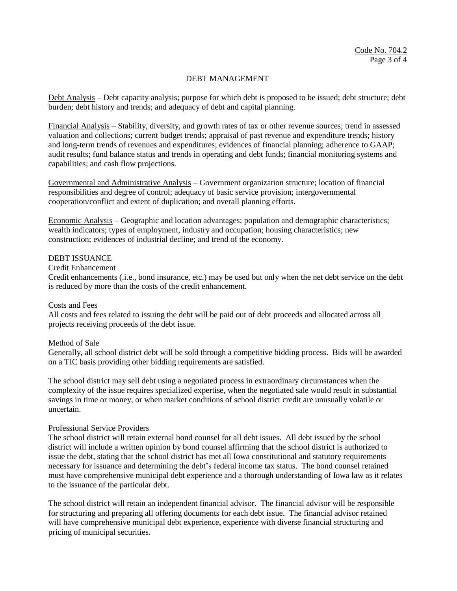Debt Analysis – Debt capacity analysis; purpose for which debt is proposed to be issued; debt structure; debt burden; debt history and trends; and adequacy of debt and capital planning.

Financial Analysis – Stability, diversity, and growth rates of tax or other revenue sources; trend in assessed valuation and collections; current budget trends; appraisal of past revenue and expenditure trends; history and long-term trends of revenues and expenditures; evidences of financial planning; adherence to GAAP; audit results; fund balance status and trends in operating and debt funds; financial monitoring systems and capabilities; and cash flow projections.

Governmental and Administrative Analysis – Government organization structure; location of financial responsibilities and degree of control; adequacy of basic service provision; intergovernmental cooperation/conflict and extent of duplication; and overall planning efforts.

Economic Analysis – Geographic and location advantages; population and demographic characteristics; wealth indicators; types of employment, industry and occupation; housing characteristics; new construction; evidences of industrial decline; and trend of the economy.

## DEBT ISSUANCE

#### Credit Enhancement

Credit enhancements (.i.e., bond insurance, etc.) may be used but only when the net debt service on the debt is reduced by more than the costs of the credit enhancement.

#### Costs and Fees

All costs and fees related to issuing the debt will be paid out of debt proceeds and allocated across all projects receiving proceeds of the debt issue.

#### Method of Sale

Generally, all school district debt will be sold through a competitive bidding process. Bids will be awarded on a TIC basis providing other bidding requirements are satisfied.

The school district may sell debt using a negotiated process in extraordinary circumstances when the complexity of the issue requires specialized expertise, when the negotiated sale would result in substantial savings in time or money, or when market conditions of school district credit are unusually volatile or uncertain.

#### Professional Service Providers

The school district will retain external bond counsel for all debt issues. All debt issued by the school district will include a written opinion by bond counsel affirming that the school district is authorized to issue the debt, stating that the school district has met all Iowa constitutional and statutory requirements necessary for issuance and determining the debt's federal income tax status. The bond counsel retained must have comprehensive municipal debt experience and a thorough understanding of Iowa law as it relates to the issuance of the particular debt.

The school district will retain an independent financial advisor. The financial advisor will be responsible for structuring and preparing all offering documents for each debt issue. The financial advisor retained will have comprehensive municipal debt experience, experience with diverse financial structuring and pricing of municipal securities.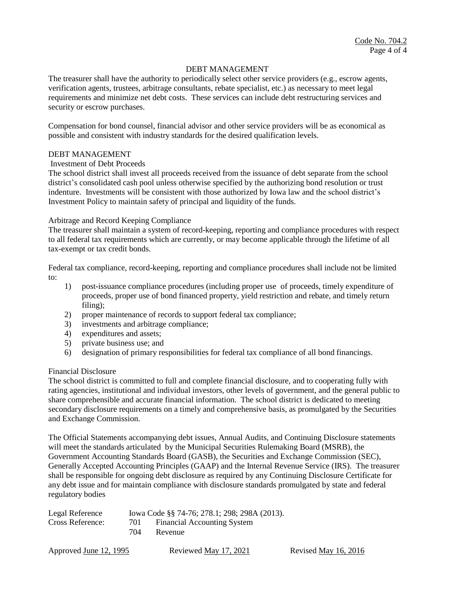The treasurer shall have the authority to periodically select other service providers (e.g., escrow agents, verification agents, trustees, arbitrage consultants, rebate specialist, etc.) as necessary to meet legal requirements and minimize net debt costs. These services can include debt restructuring services and security or escrow purchases.

Compensation for bond counsel, financial advisor and other service providers will be as economical as possible and consistent with industry standards for the desired qualification levels.

#### DEBT MANAGEMENT

#### Investment of Debt Proceeds

The school district shall invest all proceeds received from the issuance of debt separate from the school district's consolidated cash pool unless otherwise specified by the authorizing bond resolution or trust indenture. Investments will be consistent with those authorized by Iowa law and the school district's Investment Policy to maintain safety of principal and liquidity of the funds.

#### Arbitrage and Record Keeping Compliance

The treasurer shall maintain a system of record-keeping, reporting and compliance procedures with respect to all federal tax requirements which are currently, or may become applicable through the lifetime of all tax-exempt or tax credit bonds.

Federal tax compliance, record-keeping, reporting and compliance procedures shall include not be limited to:

- 1) post-issuance compliance procedures (including proper use of proceeds, timely expenditure of proceeds, proper use of bond financed property, yield restriction and rebate, and timely return filing);
- 2) proper maintenance of records to support federal tax compliance;
- 3) investments and arbitrage compliance;
- 4) expenditures and assets;
- 5) private business use; and
- 6) designation of primary responsibilities for federal tax compliance of all bond financings.

#### Financial Disclosure

The school district is committed to full and complete financial disclosure, and to cooperating fully with rating agencies, institutional and individual investors, other levels of government, and the general public to share comprehensible and accurate financial information. The school district is dedicated to meeting secondary disclosure requirements on a timely and comprehensive basis, as promulgated by the Securities and Exchange Commission.

The Official Statements accompanying debt issues, Annual Audits, and Continuing Disclosure statements will meet the standards articulated by the Municipal Securities Rulemaking Board (MSRB), the Government Accounting Standards Board (GASB), the Securities and Exchange Commission (SEC), Generally Accepted Accounting Principles (GAAP) and the Internal Revenue Service (IRS). The treasurer shall be responsible for ongoing debt disclosure as required by any Continuing Disclosure Certificate for any debt issue and for maintain compliance with disclosure standards promulgated by state and federal regulatory bodies

| Legal Reference  |     | Iowa Code §§ 74-76; 278.1; 298; 298A (2013). |  |
|------------------|-----|----------------------------------------------|--|
| Cross Reference: | 701 | <b>Financial Accounting System</b>           |  |
|                  | 704 | Revenue                                      |  |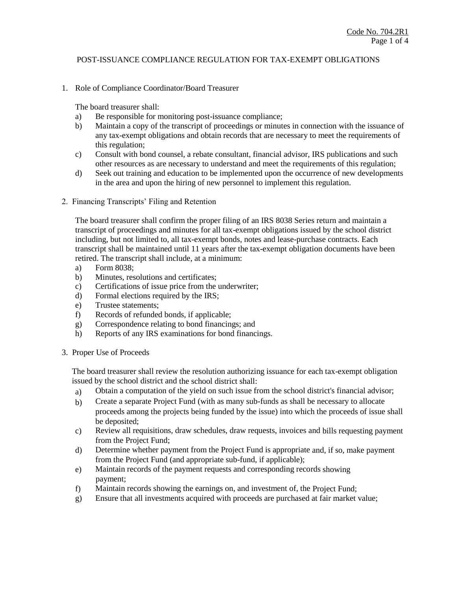1. Role of Compliance Coordinator/Board Treasurer

The board treasurer shall:

- a) Be responsible for monitoring post-issuance compliance;
- b) Maintain a copy of the transcript of proceedings or minutes in connection with the issuance of any tax-exempt obligations and obtain records that are necessary to meet the requirements of this regulation;
- c) Consult with bond counsel, a rebate consultant, financial advisor, IRS publications and such other resources as are necessary to understand and meet the requirements of this regulation;
- d) Seek out training and education to be implemented upon the occurrence of new developments in the area and upon the hiring of new personnel to implement this regulation.
- 2. Financing Transcripts' Filing and Retention

The board treasurer shall confirm the proper filing of an IRS 8038 Series return and maintain a transcript of proceedings and minutes for all tax-exempt obligations issued by the school district including, but not limited to, all tax-exempt bonds, notes and lease-purchase contracts. Each transcript shall be maintained until 11 years after the tax-exempt obligation documents have been retired. The transcript shall include, at a minimum:

- a) Form 8038;
- b) Minutes, resolutions and certificates;
- c) Certifications of issue price from the underwriter;
- d) Formal elections required by the IRS;
- e) Trustee statements;
- f) Records of refunded bonds, if applicable;
- g) Correspondence relating to bond financings; and
- h) Reports of any IRS examinations for bond financings.
- 3. Proper Use of Proceeds

The board treasurer shall review the resolution authorizing issuance for each tax-exempt obligation issued by the school district and the school district shall:

- a) Obtain a computation of the yield on such issue from the school district's financial advisor;
- b) Create a separate Project Fund (with as many sub-funds as shall be necessary to allocate proceeds among the projects being funded by the issue) into which the proceeds of issue shall be deposited;
- c) Review all requisitions, draw schedules, draw requests, invoices and bills requesting payment from the Project Fund;
- d) Determine whether payment from the Project Fund is appropriate and, if so, make payment from the Project Fund (and appropriate sub-fund, if applicable);
- e) Maintain records of the payment requests and corresponding records showing payment;
- f) Maintain records showing the earnings on, and investment of, the Project Fund;
- g) Ensure that all investments acquired with proceeds are purchased at fair market value;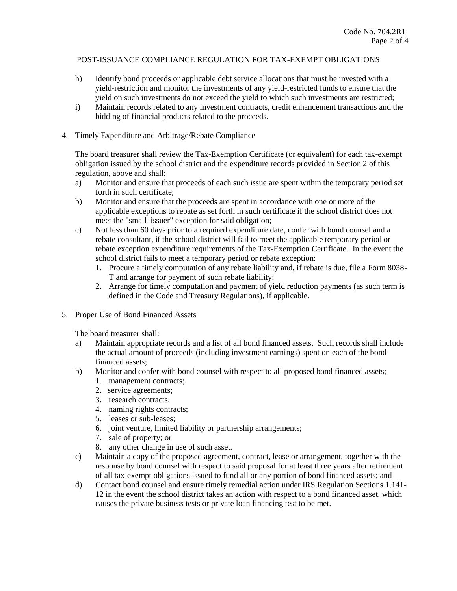- h) Identify bond proceeds or applicable debt service allocations that must be invested with a yield-restriction and monitor the investments of any yield-restricted funds to ensure that the yield on such investments do not exceed the yield to which such investments are restricted;
- i) Maintain records related to any investment contracts, credit enhancement transactions and the bidding of financial products related to the proceeds.
- 4. Timely Expenditure and Arbitrage/Rebate Compliance

The board treasurer shall review the Tax-Exemption Certificate (or equivalent) for each tax-exempt obligation issued by the school district and the expenditure records provided in Section 2 of this regulation, above and shall:

- a) Monitor and ensure that proceeds of each such issue are spent within the temporary period set forth in such certificate;
- b) Monitor and ensure that the proceeds are spent in accordance with one or more of the applicable exceptions to rebate as set forth in such certificate if the school district does not meet the "small issuer" exception for said obligation;
- c) Not less than 60 days prior to a required expenditure date, confer with bond counsel and a rebate consultant, if the school district will fail to meet the applicable temporary period or rebate exception expenditure requirements of the Tax-Exemption Certificate. In the event the school district fails to meet a temporary period or rebate exception:
	- 1. Procure a timely computation of any rebate liability and, if rebate is due, file a Form 8038- T and arrange for payment of such rebate liability;
	- 2. Arrange for timely computation and payment of yield reduction payments (as such term is defined in the Code and Treasury Regulations), if applicable.
- 5. Proper Use of Bond Financed Assets

The board treasurer shall:

- a) Maintain appropriate records and a list of all bond financed assets. Such records shall include the actual amount of proceeds (including investment earnings) spent on each of the bond financed assets;
- b) Monitor and confer with bond counsel with respect to all proposed bond financed assets;
	- 1. management contracts;
	- 2. service agreements;
	- 3. research contracts;
	- 4. naming rights contracts;
	- 5. leases or sub-leases;
	- 6. joint venture, limited liability or partnership arrangements;
	- 7. sale of property; or
	- 8. any other change in use of such asset.
- c) Maintain a copy of the proposed agreement, contract, lease or arrangement, together with the response by bond counsel with respect to said proposal for at least three years after retirement of all tax-exempt obligations issued to fund all or any portion of bond financed assets; and
- d) Contact bond counsel and ensure timely remedial action under IRS Regulation Sections 1.141- 12 in the event the school district takes an action with respect to a bond financed asset, which causes the private business tests or private loan financing test to be met.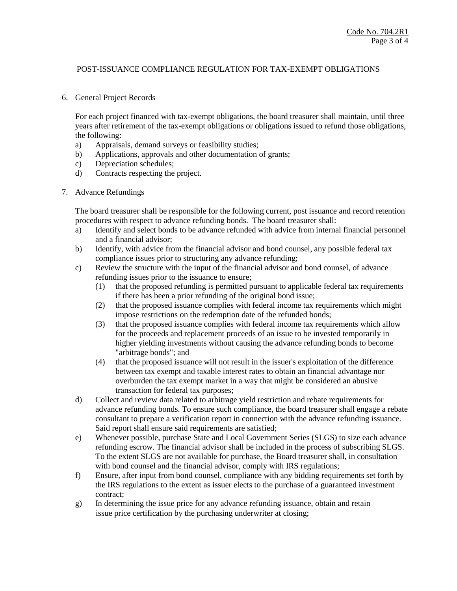#### 6. General Project Records

For each project financed with tax-exempt obligations, the board treasurer shall maintain, until three years after retirement of the tax-exempt obligations or obligations issued to refund those obligations, the following:

- a) Appraisals, demand surveys or feasibility studies;
- b) Applications, approvals and other documentation of grants;
- c) Depreciation schedules;
- d) Contracts respecting the project.
- 7. Advance Refundings

The board treasurer shall be responsible for the following current, post issuance and record retention procedures with respect to advance refunding bonds. The board treasurer shall:

- a) Identify and select bonds to be advance refunded with advice from internal financial personnel and a financial advisor;
- b) Identify, with advice from the financial advisor and bond counsel, any possible federal tax compliance issues prior to structuring any advance refunding;
- c) Review the structure with the input of the financial advisor and bond counsel, of advance refunding issues prior to the issuance to ensure;
	- (1) that the proposed refunding is permitted pursuant to applicable federal tax requirements if there has been a prior refunding of the original bond issue;
	- (2) that the proposed issuance complies with federal income tax requirements which might impose restrictions on the redemption date of the refunded bonds;
	- (3) that the proposed issuance complies with federal income tax requirements which allow for the proceeds and replacement proceeds of an issue to be invested temporarily in higher yielding investments without causing the advance refunding bonds to become "arbitrage bonds"; and
	- (4) that the proposed issuance will not result in the issuer's exploitation of the difference between tax exempt and taxable interest rates to obtain an financial advantage nor overburden the tax exempt market in a way that might be considered an abusive transaction for federal tax purposes;
- d) Collect and review data related to arbitrage yield restriction and rebate requirements for advance refunding bonds. To ensure such compliance, the board treasurer shall engage a rebate consultant to prepare a verification report in connection with the advance refunding issuance. Said report shall ensure said requirements are satisfied;
- e) Whenever possible, purchase State and Local Government Series (SLGS) to size each advance refunding escrow. The financial advisor shall be included in the process of subscribing SLGS. To the extent SLGS are not available for purchase, the Board treasurer shall, in consultation with bond counsel and the financial advisor, comply with IRS regulations;
- f) Ensure, after input from bond counsel, compliance with any bidding requirements set forth by the IRS regulations to the extent as issuer elects to the purchase of a guaranteed investment contract;
- g) In determining the issue price for any advance refunding issuance, obtain and retain issue price certification by the purchasing underwriter at closing;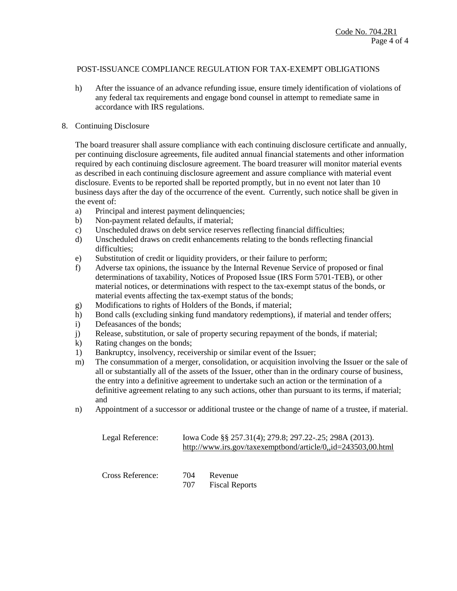h) After the issuance of an advance refunding issue, ensure timely identification of violations of any federal tax requirements and engage bond counsel in attempt to remediate same in accordance with IRS regulations.

### 8. Continuing Disclosure

The board treasurer shall assure compliance with each continuing disclosure certificate and annually, per continuing disclosure agreements, file audited annual financial statements and other information required by each continuing disclosure agreement. The board treasurer will monitor material events as described in each continuing disclosure agreement and assure compliance with material event disclosure. Events to be reported shall be reported promptly, but in no event not later than 10 business days after the day of the occurrence of the event. Currently, such notice shall be given in the event of:

- a) Principal and interest payment delinquencies;
- b) Non-payment related defaults, if material;
- c) Unscheduled draws on debt service reserves reflecting financial difficulties;
- d) Unscheduled draws on credit enhancements relating to the bonds reflecting financial difficulties;
- e) Substitution of credit or liquidity providers, or their failure to perform;
- f) Adverse tax opinions, the issuance by the Internal Revenue Service of proposed or final determinations of taxability, Notices of Proposed Issue (IRS Form 5701-TEB), or other material notices, or determinations with respect to the tax-exempt status of the bonds, or material events affecting the tax-exempt status of the bonds;
- g) Modifications to rights of Holders of the Bonds, if material;
- h) Bond calls (excluding sinking fund mandatory redemptions), if material and tender offers;
- i) Defeasances of the bonds;
- j) Release, substitution, or sale of property securing repayment of the bonds, if material;
- k) Rating changes on the bonds;
- 1) Bankruptcy, insolvency, receivership or similar event of the Issuer;
- m) The consummation of a merger, consolidation, or acquisition involving the Issuer or the sale of all or substantially all of the assets of the Issuer, other than in the ordinary course of business, the entry into a definitive agreement to undertake such an action or the termination of a definitive agreement relating to any such actions, other than pursuant to its terms, if material; and
- n) Appointment of a successor or additional trustee or the change of name of a trustee, if material.

| Legal Reference: |            | Iowa Code §§ 257.31(4); 279.8; 297.22-.25; 298A (2013).<br>http://www.irs.gov/taxexemptbond/article/0,,id=243503,00.html |  |  |
|------------------|------------|--------------------------------------------------------------------------------------------------------------------------|--|--|
| Cross Reference: | 704<br>707 | Revenue<br><b>Fiscal Reports</b>                                                                                         |  |  |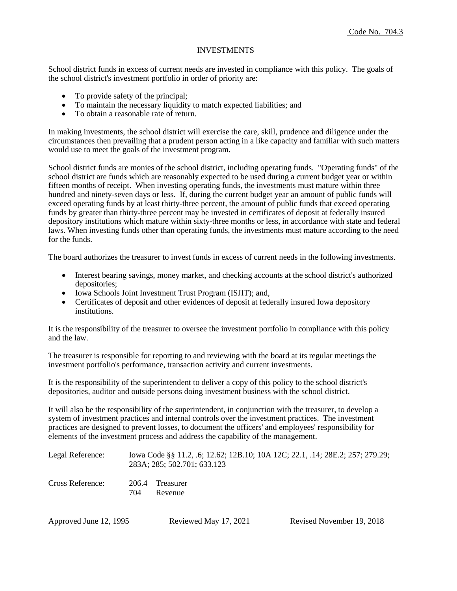#### INVESTMENTS

School district funds in excess of current needs are invested in compliance with this policy. The goals of the school district's investment portfolio in order of priority are:

- To provide safety of the principal;
- To maintain the necessary liquidity to match expected liabilities; and
- To obtain a reasonable rate of return.

In making investments, the school district will exercise the care, skill, prudence and diligence under the circumstances then prevailing that a prudent person acting in a like capacity and familiar with such matters would use to meet the goals of the investment program.

School district funds are monies of the school district, including operating funds. "Operating funds" of the school district are funds which are reasonably expected to be used during a current budget year or within fifteen months of receipt. When investing operating funds, the investments must mature within three hundred and ninety-seven days or less. If, during the current budget year an amount of public funds will exceed operating funds by at least thirty-three percent, the amount of public funds that exceed operating funds by greater than thirty-three percent may be invested in certificates of deposit at federally insured depository institutions which mature within sixty-three months or less, in accordance with state and federal laws. When investing funds other than operating funds, the investments must mature according to the need for the funds.

The board authorizes the treasurer to invest funds in excess of current needs in the following investments.

- Interest bearing savings, money market, and checking accounts at the school district's authorized depositories;
- Iowa Schools Joint Investment Trust Program (ISJIT); and,
- Certificates of deposit and other evidences of deposit at federally insured Iowa depository institutions.

It is the responsibility of the treasurer to oversee the investment portfolio in compliance with this policy and the law.

The treasurer is responsible for reporting to and reviewing with the board at its regular meetings the investment portfolio's performance, transaction activity and current investments.

It is the responsibility of the superintendent to deliver a copy of this policy to the school district's depositories, auditor and outside persons doing investment business with the school district.

It will also be the responsibility of the superintendent, in conjunction with the treasurer, to develop a system of investment practices and internal controls over the investment practices. The investment practices are designed to prevent losses, to document the officers' and employees' responsibility for elements of the investment process and address the capability of the management.

| Legal Reference: | Iowa Code §§ 11.2, .6; 12.62; 12B.10; 10A 12C; 22.1, .14; 28E.2; 257; 279.29;<br>283A; 285; 502.701; 633.123 |                            |  |  |
|------------------|--------------------------------------------------------------------------------------------------------------|----------------------------|--|--|
| Cross Reference: | 704                                                                                                          | 206.4 Treasurer<br>Revenue |  |  |

Approved <u>June 12, 1995</u> Reviewed <u>May 17, 2021</u> Revised November 19, 2018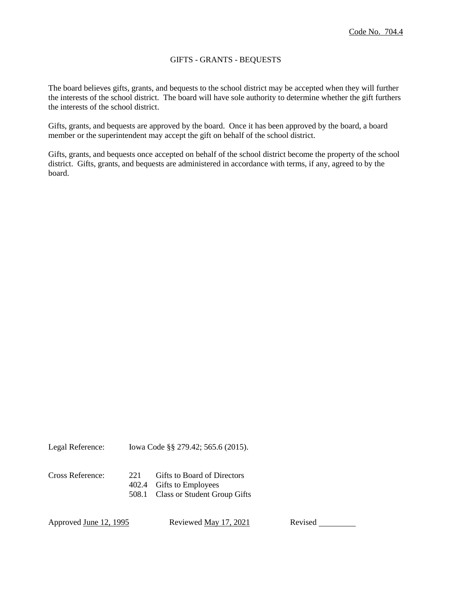# GIFTS - GRANTS - BEQUESTS

The board believes gifts, grants, and bequests to the school district may be accepted when they will further the interests of the school district. The board will have sole authority to determine whether the gift furthers the interests of the school district.

Gifts, grants, and bequests are approved by the board. Once it has been approved by the board, a board member or the superintendent may accept the gift on behalf of the school district.

Gifts, grants, and bequests once accepted on behalf of the school district become the property of the school district. Gifts, grants, and bequests are administered in accordance with terms, if any, agreed to by the board.

Legal Reference: Iowa Code §§ 279.42; 565.6 (2015).

Cross Reference: 221 Gifts to Board of Directors 402.4 Gifts to Employees 508.1 Class or Student Group Gifts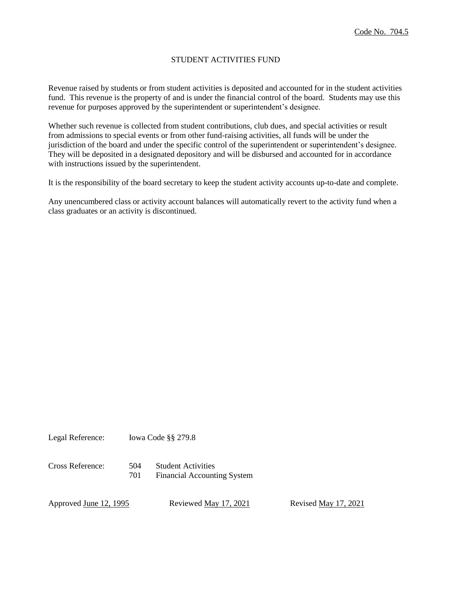# STUDENT ACTIVITIES FUND

Revenue raised by students or from student activities is deposited and accounted for in the student activities fund. This revenue is the property of and is under the financial control of the board. Students may use this revenue for purposes approved by the superintendent or superintendent's designee.

Whether such revenue is collected from student contributions, club dues, and special activities or result from admissions to special events or from other fund-raising activities, all funds will be under the jurisdiction of the board and under the specific control of the superintendent or superintendent's designee. They will be deposited in a designated depository and will be disbursed and accounted for in accordance with instructions issued by the superintendent.

It is the responsibility of the board secretary to keep the student activity accounts up-to-date and complete.

Any unencumbered class or activity account balances will automatically revert to the activity fund when a class graduates or an activity is discontinued.

Legal Reference: Iowa Code §§ 279.8

Cross Reference: 504 Student Activities 701 Financial Accounting System

Approved <u>June 12, 1995</u> Reviewed <u>May 17, 2021</u> Revised May 17, 2021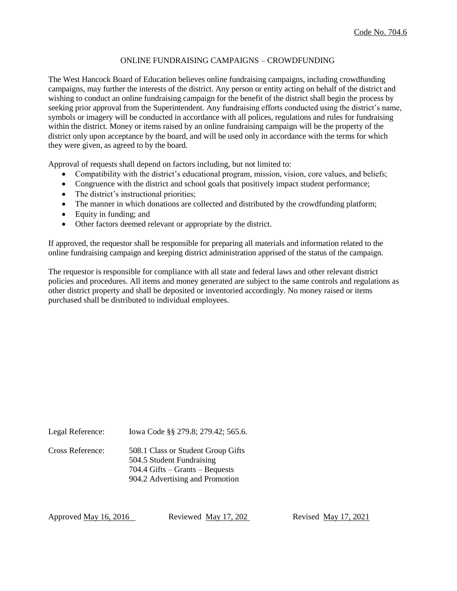#### ONLINE FUNDRAISING CAMPAIGNS – CROWDFUNDING

The West Hancock Board of Education believes online fundraising campaigns, including crowdfunding campaigns, may further the interests of the district. Any person or entity acting on behalf of the district and wishing to conduct an online fundraising campaign for the benefit of the district shall begin the process by seeking prior approval from the Superintendent. Any fundraising efforts conducted using the district's name, symbols or imagery will be conducted in accordance with all polices, regulations and rules for fundraising within the district. Money or items raised by an online fundraising campaign will be the property of the district only upon acceptance by the board, and will be used only in accordance with the terms for which they were given, as agreed to by the board.

Approval of requests shall depend on factors including, but not limited to:

- Compatibility with the district's educational program, mission, vision, core values, and beliefs;
- Congruence with the district and school goals that positively impact student performance;
- The district's instructional priorities;
- The manner in which donations are collected and distributed by the crowdfunding platform;
- Equity in funding; and
- Other factors deemed relevant or appropriate by the district.

If approved, the requestor shall be responsible for preparing all materials and information related to the online fundraising campaign and keeping district administration apprised of the status of the campaign.

The requestor is responsible for compliance with all state and federal laws and other relevant district policies and procedures. All items and money generated are subject to the same controls and regulations as other district property and shall be deposited or inventoried accordingly. No money raised or items purchased shall be distributed to individual employees.

Legal Reference: Iowa Code §§ 279.8; 279.42; 565.6.

Cross Reference: 508.1 Class or Student Group Gifts 504.5 Student Fundraising 704.4 Gifts – Grants – Bequests 904.2 Advertising and Promotion

Approved May 16, 2016 Reviewed May 17, 202 Revised May 17, 2021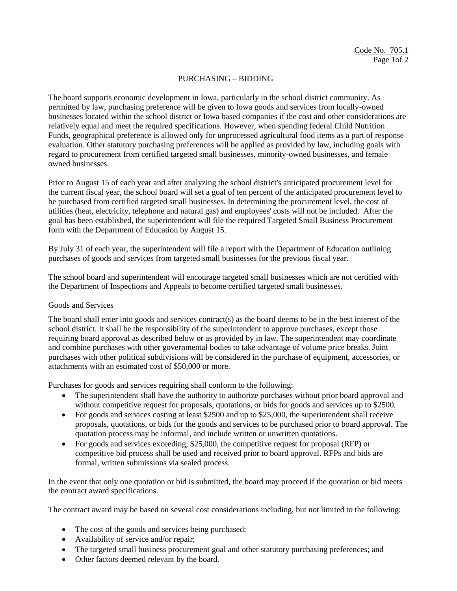# PURCHASING – BIDDING

The board supports economic development in Iowa, particularly in the school district community. As permitted by law, purchasing preference will be given to Iowa goods and services from locally-owned businesses located within the school district or Iowa based companies if the cost and other considerations are relatively equal and meet the required specifications. However, when spending federal Child Nutrition Funds, geographical preference is allowed only for unprocessed agricultural food items as a part of response evaluation. Other statutory purchasing preferences will be applied as provided by law, including goals with regard to procurement from certified targeted small businesses, minority-owned businesses, and female owned businesses.

Prior to August 15 of each year and after analyzing the school district's anticipated procurement level for the current fiscal year, the school board will set a goal of ten percent of the anticipated procurement level to be purchased from certified targeted small businesses. In determining the procurement level, the cost of utilities (heat, electricity, telephone and natural gas) and employees' costs will not be included. After the goal has been established, the superintendent will file the required Targeted Small Business Procurement form with the Department of Education by August 15.

By July 31 of each year, the superintendent will file a report with the Department of Education outlining purchases of goods and services from targeted small businesses for the previous fiscal year.

The school board and superintendent will encourage targeted small businesses which are not certified with the Department of Inspections and Appeals to become certified targeted small businesses.

## Goods and Services

The board shall enter into goods and services contract(s) as the board deems to be in the best interest of the school district. It shall be the responsibility of the superintendent to approve purchases, except those requiring board approval as described below or as provided by in law. The superintendent may coordinate and combine purchases with other governmental bodies to take advantage of volume price breaks. Joint purchases with other political subdivisions will be considered in the purchase of equipment, accessories, or attachments with an estimated cost of \$50,000 or more.

Purchases for goods and services requiring shall conform to the following:

- The superintendent shall have the authority to authorize purchases without prior board approval and without competitive request for proposals, quotations, or bids for goods and services up to \$2500.
- For goods and services costing at least \$2500 and up to \$25,000, the superintendent shall receive proposals, quotations, or bids for the goods and services to be purchased prior to board approval. The quotation process may be informal, and include written or unwritten quotations.
- For goods and services exceeding, \$25,000, the competitive request for proposal (RFP) or competitive bid process shall be used and received prior to board approval. RFPs and bids are formal, written submissions via sealed process.

In the event that only one quotation or bid is submitted, the board may proceed if the quotation or bid meets the contract award specifications.

The contract award may be based on several cost considerations including, but not limited to the following:

- The cost of the goods and services being purchased;
- Availability of service and/or repair;
- The targeted small business procurement goal and other statutory purchasing preferences; and
- Other factors deemed relevant by the board.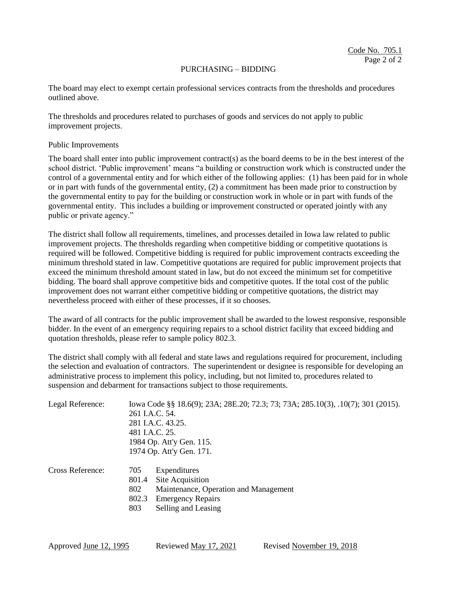#### PURCHASING – BIDDING

The board may elect to exempt certain professional services contracts from the thresholds and procedures outlined above.

The thresholds and procedures related to purchases of goods and services do not apply to public improvement projects.

Public Improvements

The board shall enter into public improvement contract(s) as the board deems to be in the best interest of the school district. 'Public improvement' means "a building or construction work which is constructed under the control of a governmental entity and for which either of the following applies: (1) has been paid for in whole or in part with funds of the governmental entity, (2) a commitment has been made prior to construction by the governmental entity to pay for the building or construction work in whole or in part with funds of the governmental entity. This includes a building or improvement constructed or operated jointly with any public or private agency."

The district shall follow all requirements, timelines, and processes detailed in Iowa law related to public improvement projects. The thresholds regarding when competitive bidding or competitive quotations is required will be followed. Competitive bidding is required for public improvement contracts exceeding the minimum threshold stated in law. Competitive quotations are required for public improvement projects that exceed the minimum threshold amount stated in law, but do not exceed the minimum set for competitive bidding. The board shall approve competitive bids and competitive quotes. If the total cost of the public improvement does not warrant either competitive bidding or competitive quotations, the district may nevertheless proceed with either of these processes, if it so chooses.

The award of all contracts for the public improvement shall be awarded to the lowest responsive, responsible bidder. In the event of an emergency requiring repairs to a school district facility that exceed bidding and quotation thresholds, please refer to sample policy 802.3.

The district shall comply with all federal and state laws and regulations required for procurement, including the selection and evaluation of contractors. The superintendent or designee is responsible for developing an administrative process to implement this policy, including, but not limited to, procedures related to suspension and debarment for transactions subject to those requirements.

| Legal Reference: | Iowa Code §§ 18.6(9); 23A; 28E.20; 72.3; 73; 73A; 285.10(3), .10(7); 301 (2015).<br>261 I.A.C. 54.<br>281 I.A.C. 43.25.<br>481 I.A.C. 25.<br>1984 Op. Att'y Gen. 115. |  |  |  |
|------------------|-----------------------------------------------------------------------------------------------------------------------------------------------------------------------|--|--|--|
|                  | 1974 Op. Att'y Gen. 171.                                                                                                                                              |  |  |  |
| Cross Reference: | 705<br>Expenditures<br>Site Acquisition<br>801.4<br>802<br>Maintenance, Operation and Management<br>802.3<br><b>Emergency Repairs</b><br>803<br>Selling and Leasing   |  |  |  |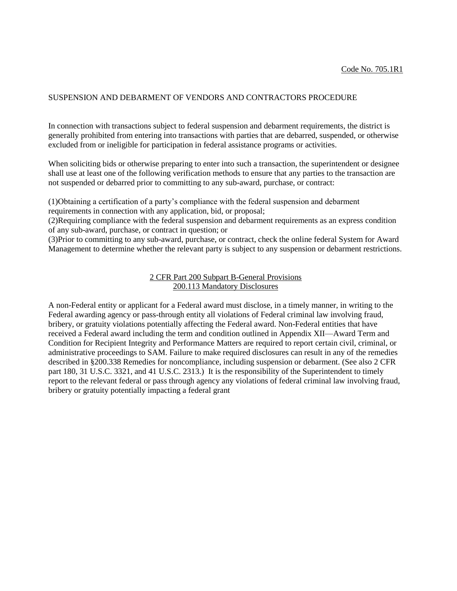### SUSPENSION AND DEBARMENT OF VENDORS AND CONTRACTORS PROCEDURE

In connection with transactions subject to federal suspension and debarment requirements, the district is generally prohibited from entering into transactions with parties that are debarred, suspended, or otherwise excluded from or ineligible for participation in federal assistance programs or activities.

When soliciting bids or otherwise preparing to enter into such a transaction, the superintendent or designee shall use at least one of the following verification methods to ensure that any parties to the transaction are not suspended or debarred prior to committing to any sub-award, purchase, or contract:

(1)Obtaining a certification of a party's compliance with the federal suspension and debarment requirements in connection with any application, bid, or proposal;

(2)Requiring compliance with the federal suspension and debarment requirements as an express condition of any sub-award, purchase, or contract in question; or

(3)Prior to committing to any sub-award, purchase, or contract, check the online federal System for Award Management to determine whether the relevant party is subject to any suspension or debarment restrictions.

### 2 CFR Part 200 Subpart B-General Provisions 200.113 Mandatory Disclosures

A non-Federal entity or applicant for a Federal award must disclose, in a timely manner, in writing to the Federal awarding agency or pass-through entity all violations of Federal criminal law involving fraud, bribery, or gratuity violations potentially affecting the Federal award. Non-Federal entities that have received a Federal award including the term and condition outlined in Appendix XII—Award Term and Condition for Recipient Integrity and Performance Matters are required to report certain civil, criminal, or administrative proceedings to SAM. Failure to make required disclosures can result in any of the remedies described in §200.338 Remedies for noncompliance, including suspension or debarment. (See also 2 CFR part 180, 31 U.S.C. 3321, and 41 U.S.C. 2313.) It is the responsibility of the Superintendent to timely report to the relevant federal or pass through agency any violations of federal criminal law involving fraud, bribery or gratuity potentially impacting a federal grant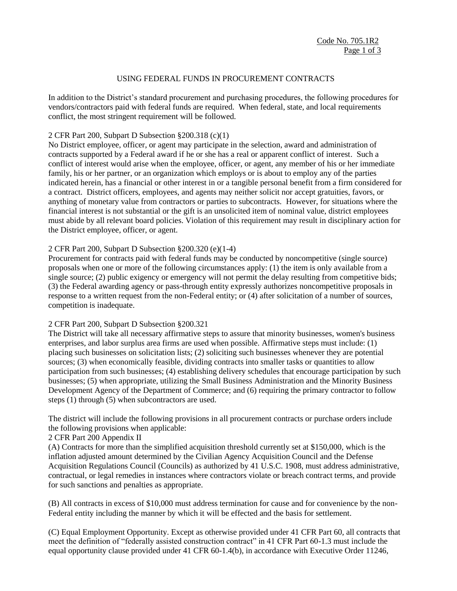## USING FEDERAL FUNDS IN PROCUREMENT CONTRACTS

In addition to the District's standard procurement and purchasing procedures, the following procedures for vendors/contractors paid with federal funds are required. When federal, state, and local requirements conflict, the most stringent requirement will be followed.

### 2 CFR Part 200, Subpart D Subsection §200.318 (c)(1)

No District employee, officer, or agent may participate in the selection, award and administration of contracts supported by a Federal award if he or she has a real or apparent conflict of interest. Such a conflict of interest would arise when the employee, officer, or agent, any member of his or her immediate family, his or her partner, or an organization which employs or is about to employ any of the parties indicated herein, has a financial or other interest in or a tangible personal benefit from a firm considered for a contract. District officers, employees, and agents may neither solicit nor accept gratuities, favors, or anything of monetary value from contractors or parties to subcontracts. However, for situations where the financial interest is not substantial or the gift is an unsolicited item of nominal value, district employees must abide by all relevant board policies. Violation of this requirement may result in disciplinary action for the District employee, officer, or agent.

## 2 CFR Part 200, Subpart D Subsection §200.320 (e)(1-4)

Procurement for contracts paid with federal funds may be conducted by noncompetitive (single source) proposals when one or more of the following circumstances apply: (1) the item is only available from a single source; (2) public exigency or emergency will not permit the delay resulting from competitive bids; (3) the Federal awarding agency or pass-through entity expressly authorizes noncompetitive proposals in response to a written request from the non-Federal entity; or (4) after solicitation of a number of sources, competition is inadequate.

#### 2 CFR Part 200, Subpart D Subsection §200.321

The District will take all necessary affirmative steps to assure that minority businesses, women's business enterprises, and labor surplus area firms are used when possible. Affirmative steps must include: (1) placing such businesses on solicitation lists; (2) soliciting such businesses whenever they are potential sources; (3) when economically feasible, dividing contracts into smaller tasks or quantities to allow participation from such businesses; (4) establishing delivery schedules that encourage participation by such businesses; (5) when appropriate, utilizing the Small Business Administration and the Minority Business Development Agency of the Department of Commerce; and (6) requiring the primary contractor to follow steps (1) through (5) when subcontractors are used.

The district will include the following provisions in all procurement contracts or purchase orders include the following provisions when applicable:

## 2 CFR Part 200 Appendix II

(A) Contracts for more than the simplified acquisition threshold currently set at \$150,000, which is the inflation adjusted amount determined by the Civilian Agency Acquisition Council and the Defense Acquisition Regulations Council (Councils) as authorized by 41 U.S.C. 1908, must address administrative, contractual, or legal remedies in instances where contractors violate or breach contract terms, and provide for such sanctions and penalties as appropriate.

(B) All contracts in excess of \$10,000 must address termination for cause and for convenience by the non-Federal entity including the manner by which it will be effected and the basis for settlement.

(C) Equal Employment Opportunity. Except as otherwise provided under 41 CFR Part 60, all contracts that meet the definition of "federally assisted construction contract" in 41 CFR Part 60-1.3 must include the equal opportunity clause provided under 41 CFR 60-1.4(b), in accordance with Executive Order 11246,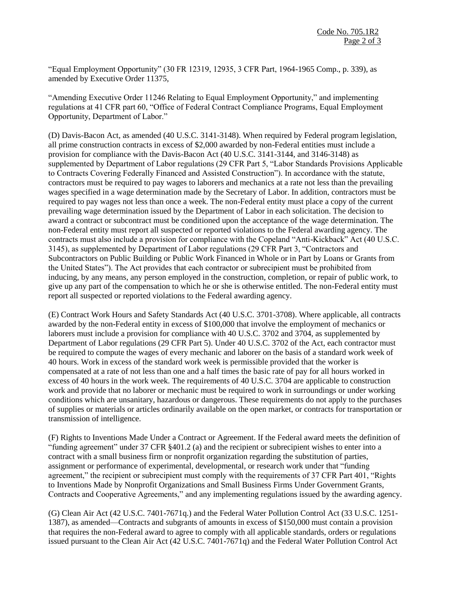"Equal Employment Opportunity" (30 FR 12319, 12935, 3 CFR Part, 1964-1965 Comp., p. 339), as amended by Executive Order 11375,

"Amending Executive Order 11246 Relating to Equal Employment Opportunity," and implementing regulations at 41 CFR part 60, "Office of Federal Contract Compliance Programs, Equal Employment Opportunity, Department of Labor."

(D) Davis-Bacon Act, as amended (40 U.S.C. 3141-3148). When required by Federal program legislation, all prime construction contracts in excess of \$2,000 awarded by non-Federal entities must include a provision for compliance with the Davis-Bacon Act (40 U.S.C. 3141-3144, and 3146-3148) as supplemented by Department of Labor regulations (29 CFR Part 5, "Labor Standards Provisions Applicable to Contracts Covering Federally Financed and Assisted Construction"). In accordance with the statute, contractors must be required to pay wages to laborers and mechanics at a rate not less than the prevailing wages specified in a wage determination made by the Secretary of Labor. In addition, contractors must be required to pay wages not less than once a week. The non-Federal entity must place a copy of the current prevailing wage determination issued by the Department of Labor in each solicitation. The decision to award a contract or subcontract must be conditioned upon the acceptance of the wage determination. The non-Federal entity must report all suspected or reported violations to the Federal awarding agency. The contracts must also include a provision for compliance with the Copeland "Anti-Kickback" Act (40 U.S.C. 3145), as supplemented by Department of Labor regulations (29 CFR Part 3, "Contractors and Subcontractors on Public Building or Public Work Financed in Whole or in Part by Loans or Grants from the United States"). The Act provides that each contractor or subrecipient must be prohibited from inducing, by any means, any person employed in the construction, completion, or repair of public work, to give up any part of the compensation to which he or she is otherwise entitled. The non-Federal entity must report all suspected or reported violations to the Federal awarding agency.

(E) Contract Work Hours and Safety Standards Act (40 U.S.C. 3701-3708). Where applicable, all contracts awarded by the non-Federal entity in excess of \$100,000 that involve the employment of mechanics or laborers must include a provision for compliance with 40 U.S.C. 3702 and 3704, as supplemented by Department of Labor regulations (29 CFR Part 5). Under 40 U.S.C. 3702 of the Act, each contractor must be required to compute the wages of every mechanic and laborer on the basis of a standard work week of 40 hours. Work in excess of the standard work week is permissible provided that the worker is compensated at a rate of not less than one and a half times the basic rate of pay for all hours worked in excess of 40 hours in the work week. The requirements of 40 U.S.C. 3704 are applicable to construction work and provide that no laborer or mechanic must be required to work in surroundings or under working conditions which are unsanitary, hazardous or dangerous. These requirements do not apply to the purchases of supplies or materials or articles ordinarily available on the open market, or contracts for transportation or transmission of intelligence.

(F) Rights to Inventions Made Under a Contract or Agreement. If the Federal award meets the definition of "funding agreement" under 37 CFR §401.2 (a) and the recipient or subrecipient wishes to enter into a contract with a small business firm or nonprofit organization regarding the substitution of parties, assignment or performance of experimental, developmental, or research work under that "funding agreement," the recipient or subrecipient must comply with the requirements of 37 CFR Part 401, "Rights to Inventions Made by Nonprofit Organizations and Small Business Firms Under Government Grants, Contracts and Cooperative Agreements," and any implementing regulations issued by the awarding agency.

(G) Clean Air Act (42 U.S.C. 7401-7671q.) and the Federal Water Pollution Control Act (33 U.S.C. 1251- 1387), as amended—Contracts and subgrants of amounts in excess of \$150,000 must contain a provision that requires the non-Federal award to agree to comply with all applicable standards, orders or regulations issued pursuant to the Clean Air Act (42 U.S.C. 7401-7671q) and the Federal Water Pollution Control Act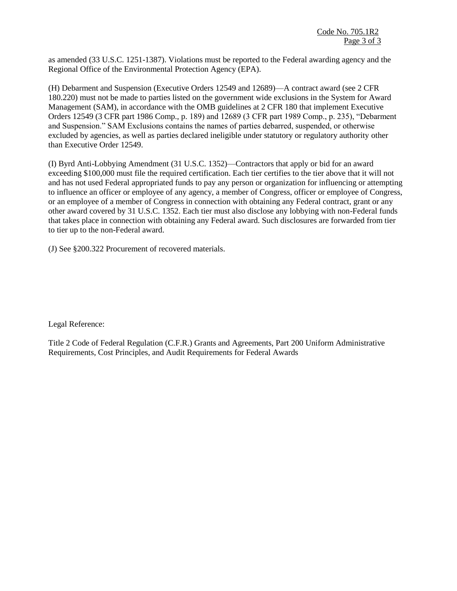as amended (33 U.S.C. 1251-1387). Violations must be reported to the Federal awarding agency and the Regional Office of the Environmental Protection Agency (EPA).

(H) Debarment and Suspension (Executive Orders 12549 and 12689)—A contract award (see 2 CFR 180.220) must not be made to parties listed on the government wide exclusions in the System for Award Management (SAM), in accordance with the OMB guidelines at 2 CFR 180 that implement Executive Orders 12549 (3 CFR part 1986 Comp., p. 189) and 12689 (3 CFR part 1989 Comp., p. 235), "Debarment and Suspension." SAM Exclusions contains the names of parties debarred, suspended, or otherwise excluded by agencies, as well as parties declared ineligible under statutory or regulatory authority other than Executive Order 12549.

(I) Byrd Anti-Lobbying Amendment (31 U.S.C. 1352)—Contractors that apply or bid for an award exceeding \$100,000 must file the required certification. Each tier certifies to the tier above that it will not and has not used Federal appropriated funds to pay any person or organization for influencing or attempting to influence an officer or employee of any agency, a member of Congress, officer or employee of Congress, or an employee of a member of Congress in connection with obtaining any Federal contract, grant or any other award covered by 31 U.S.C. 1352. Each tier must also disclose any lobbying with non-Federal funds that takes place in connection with obtaining any Federal award. Such disclosures are forwarded from tier to tier up to the non-Federal award.

(J) See §200.322 Procurement of recovered materials.

Legal Reference:

Title 2 Code of Federal Regulation (C.F.R.) Grants and Agreements, Part 200 Uniform Administrative Requirements, Cost Principles, and Audit Requirements for Federal Awards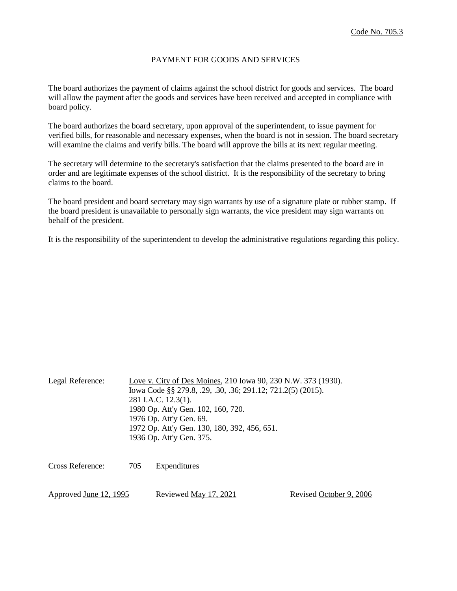### PAYMENT FOR GOODS AND SERVICES

The board authorizes the payment of claims against the school district for goods and services. The board will allow the payment after the goods and services have been received and accepted in compliance with board policy.

The board authorizes the board secretary, upon approval of the superintendent, to issue payment for verified bills, for reasonable and necessary expenses, when the board is not in session. The board secretary will examine the claims and verify bills. The board will approve the bills at its next regular meeting.

The secretary will determine to the secretary's satisfaction that the claims presented to the board are in order and are legitimate expenses of the school district. It is the responsibility of the secretary to bring claims to the board.

The board president and board secretary may sign warrants by use of a signature plate or rubber stamp. If the board president is unavailable to personally sign warrants, the vice president may sign warrants on behalf of the president.

It is the responsibility of the superintendent to develop the administrative regulations regarding this policy.

| Legal Reference:              |     | Love v. City of Des Moines, 210 Iowa 90, 230 N.W. 373 (1930).<br>Iowa Code §§ 279.8, .29, .30, .36; 291.12; 721.2(5) (2015).<br>281 I.A.C. 12.3(1).<br>1980 Op. Att'y Gen. 102, 160, 720.<br>1976 Op. Att'y Gen. 69.<br>1972 Op. Att'y Gen. 130, 180, 392, 456, 651.<br>1936 Op. Att'y Gen. 375. |                         |  |
|-------------------------------|-----|--------------------------------------------------------------------------------------------------------------------------------------------------------------------------------------------------------------------------------------------------------------------------------------------------|-------------------------|--|
| Cross Reference:              | 705 | Expenditures                                                                                                                                                                                                                                                                                     |                         |  |
| Approved <u>June 12, 1995</u> |     | Reviewed <u>May 17, 2021</u>                                                                                                                                                                                                                                                                     | Revised October 9, 2006 |  |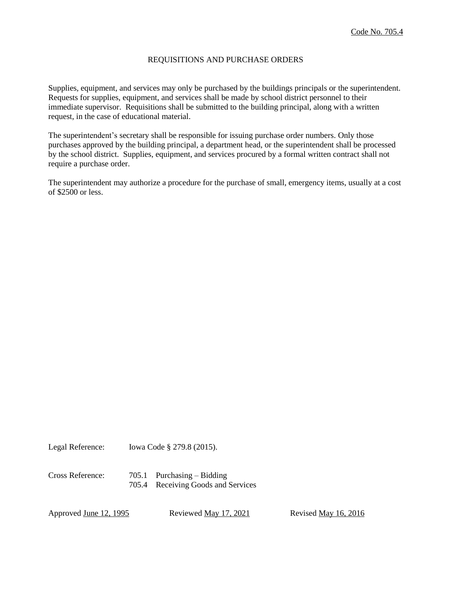## REQUISITIONS AND PURCHASE ORDERS

Supplies, equipment, and services may only be purchased by the buildings principals or the superintendent. Requests for supplies, equipment, and services shall be made by school district personnel to their immediate supervisor. Requisitions shall be submitted to the building principal, along with a written request, in the case of educational material.

The superintendent's secretary shall be responsible for issuing purchase order numbers. Only those purchases approved by the building principal, a department head, or the superintendent shall be processed by the school district. Supplies, equipment, and services procured by a formal written contract shall not require a purchase order.

The superintendent may authorize a procedure for the purchase of small, emergency items, usually at a cost of \$2500 or less.

Legal Reference: Iowa Code § 279.8 (2015).

Cross Reference: 705.1 Purchasing – Bidding 705.4 Receiving Goods and Services

Approved <u>June 12, 1995</u> Reviewed <u>May 17, 2021</u> Revised <u>May 16, 2016</u>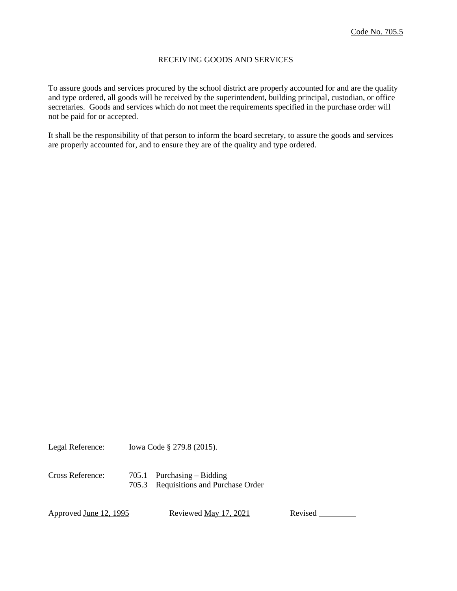### RECEIVING GOODS AND SERVICES

To assure goods and services procured by the school district are properly accounted for and are the quality and type ordered, all goods will be received by the superintendent, building principal, custodian, or office secretaries. Goods and services which do not meet the requirements specified in the purchase order will not be paid for or accepted.

It shall be the responsibility of that person to inform the board secretary, to assure the goods and services are properly accounted for, and to ensure they are of the quality and type ordered.

Legal Reference: Iowa Code § 279.8 (2015).

Cross Reference: 705.1 Purchasing – Bidding 705.3 Requisitions and Purchase Order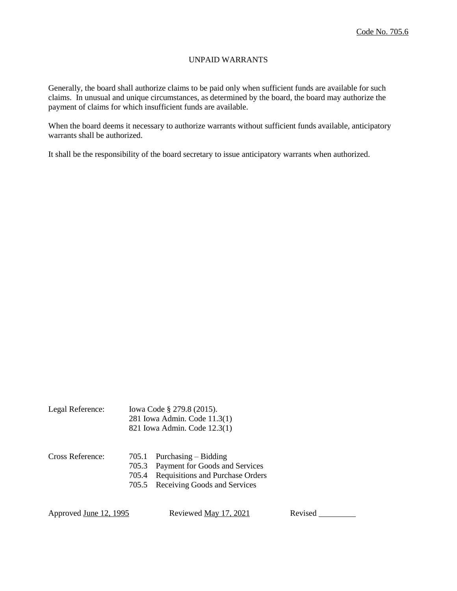# UNPAID WARRANTS

Generally, the board shall authorize claims to be paid only when sufficient funds are available for such claims. In unusual and unique circumstances, as determined by the board, the board may authorize the payment of claims for which insufficient funds are available.

When the board deems it necessary to authorize warrants without sufficient funds available, anticipatory warrants shall be authorized.

It shall be the responsibility of the board secretary to issue anticipatory warrants when authorized.

| Legal Reference: | Iowa Code § 279.8 (2015).    |
|------------------|------------------------------|
|                  | 281 Iowa Admin. Code 11.3(1) |
|                  | 821 Iowa Admin. Code 12.3(1) |

| Cross Reference: | $705.1$ Purchasing – Bidding           |
|------------------|----------------------------------------|
|                  | 705.3 Payment for Goods and Services   |
|                  | 705.4 Requisitions and Purchase Orders |
|                  | 705.5 Receiving Goods and Services     |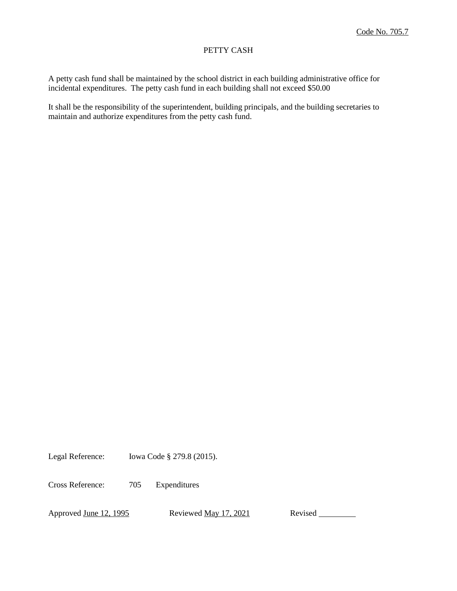# PETTY CASH

A petty cash fund shall be maintained by the school district in each building administrative office for incidental expenditures. The petty cash fund in each building shall not exceed \$50.00

It shall be the responsibility of the superintendent, building principals, and the building secretaries to maintain and authorize expenditures from the petty cash fund.

Legal Reference: Iowa Code § 279.8 (2015).

Cross Reference: 705 Expenditures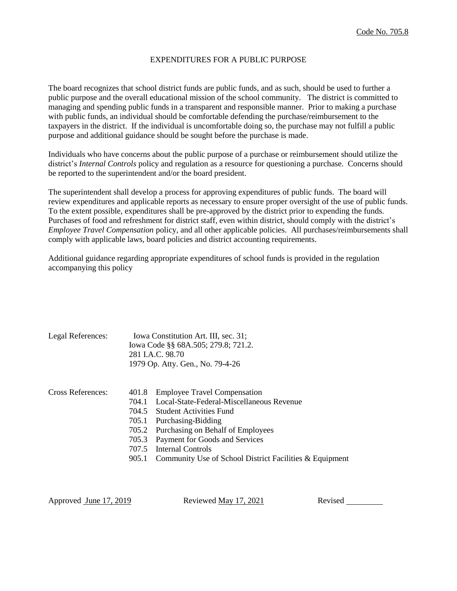## EXPENDITURES FOR A PUBLIC PURPOSE

The board recognizes that school district funds are public funds, and as such, should be used to further a public purpose and the overall educational mission of the school community. The district is committed to managing and spending public funds in a transparent and responsible manner. Prior to making a purchase with public funds, an individual should be comfortable defending the purchase/reimbursement to the taxpayers in the district. If the individual is uncomfortable doing so, the purchase may not fulfill a public purpose and additional guidance should be sought before the purchase is made.

Individuals who have concerns about the public purpose of a purchase or reimbursement should utilize the district's *Internal Controls* policy and regulation as a resource for questioning a purchase. Concerns should be reported to the superintendent and/or the board president.

The superintendent shall develop a process for approving expenditures of public funds. The board will review expenditures and applicable reports as necessary to ensure proper oversight of the use of public funds. To the extent possible, expenditures shall be pre-approved by the district prior to expending the funds. Purchases of food and refreshment for district staff, even within district, should comply with the district's *Employee Travel Compensation* policy, and all other applicable policies. All purchases/reimbursements shall comply with applicable laws, board policies and district accounting requirements.

Additional guidance regarding appropriate expenditures of school funds is provided in the regulation accompanying this policy

| Legal References: |                                                         | Iowa Constitution Art. III, sec. 31;                    |  |
|-------------------|---------------------------------------------------------|---------------------------------------------------------|--|
|                   | Iowa Code §§ 68A.505; 279.8; 721.2.<br>281 I.A.C. 98.70 |                                                         |  |
|                   |                                                         |                                                         |  |
|                   |                                                         | 1979 Op. Atty. Gen., No. 79-4-26                        |  |
|                   |                                                         |                                                         |  |
| Cross References: | 401.8                                                   | <b>Employee Travel Compensation</b>                     |  |
|                   | 704.1                                                   | Local-State-Federal-Miscellaneous Revenue               |  |
|                   |                                                         | 704.5 Student Activities Fund                           |  |
|                   | 705.1                                                   | Purchasing-Bidding                                      |  |
|                   | 705.2                                                   | Purchasing on Behalf of Employees                       |  |
|                   | 705.3                                                   | Payment for Goods and Services                          |  |
|                   | 707.5                                                   | <b>Internal Controls</b>                                |  |
|                   | 905.1                                                   | Community Use of School District Facilities & Equipment |  |
|                   |                                                         |                                                         |  |

Approved June 17, 2019 Reviewed May 17, 2021 Revised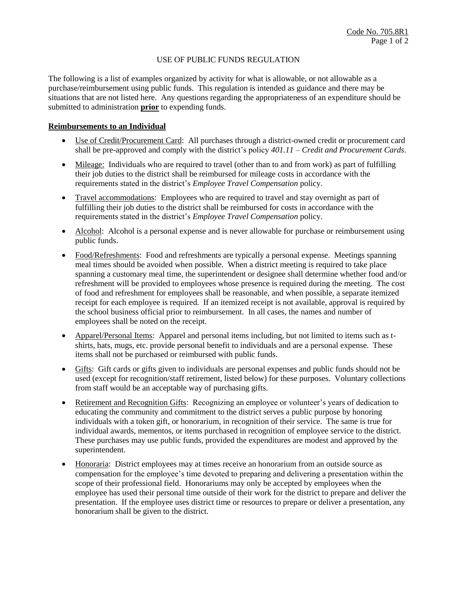# USE OF PUBLIC FUNDS REGULATION

The following is a list of examples organized by activity for what is allowable, or not allowable as a purchase/reimbursement using public funds. This regulation is intended as guidance and there may be situations that are not listed here. Any questions regarding the appropriateness of an expenditure should be submitted to administration **prior** to expending funds.

## **Reimbursements to an Individual**

- Use of Credit/Procurement Card: All purchases through a district-owned credit or procurement card shall be pre-approved and comply with the district's policy *401.11 – Credit and Procurement Cards*.
- Mileage: Individuals who are required to travel (other than to and from work) as part of fulfilling their job duties to the district shall be reimbursed for mileage costs in accordance with the requirements stated in the district's *Employee Travel Compensation* policy.
- Travel accommodations: Employees who are required to travel and stay overnight as part of fulfilling their job duties to the district shall be reimbursed for costs in accordance with the requirements stated in the district's *Employee Travel Compensation* policy.
- Alcohol: Alcohol is a personal expense and is never allowable for purchase or reimbursement using public funds.
- Food/Refreshments: Food and refreshments are typically a personal expense. Meetings spanning meal times should be avoided when possible. When a district meeting is required to take place spanning a customary meal time, the superintendent or designee shall determine whether food and/or refreshment will be provided to employees whose presence is required during the meeting. The cost of food and refreshment for employees shall be reasonable, and when possible, a separate itemized receipt for each employee is required. If an itemized receipt is not available, approval is required by the school business official prior to reimbursement. In all cases, the names and number of employees shall be noted on the receipt.
- Apparel/Personal Items: Apparel and personal items including, but not limited to items such as tshirts, hats, mugs, etc. provide personal benefit to individuals and are a personal expense. These items shall not be purchased or reimbursed with public funds.
- Gifts: Gift cards or gifts given to individuals are personal expenses and public funds should not be used (except for recognition/staff retirement, listed below) for these purposes. Voluntary collections from staff would be an acceptable way of purchasing gifts.
- Retirement and Recognition Gifts: Recognizing an employee or volunteer's years of dedication to educating the community and commitment to the district serves a public purpose by honoring individuals with a token gift, or honorarium, in recognition of their service. The same is true for individual awards, mementos, or items purchased in recognition of employee service to the district. These purchases may use public funds, provided the expenditures are modest and approved by the superintendent.
- Honoraria: District employees may at times receive an honorarium from an outside source as compensation for the employee's time devoted to preparing and delivering a presentation within the scope of their professional field. Honorariums may only be accepted by employees when the employee has used their personal time outside of their work for the district to prepare and deliver the presentation. If the employee uses district time or resources to prepare or deliver a presentation, any honorarium shall be given to the district.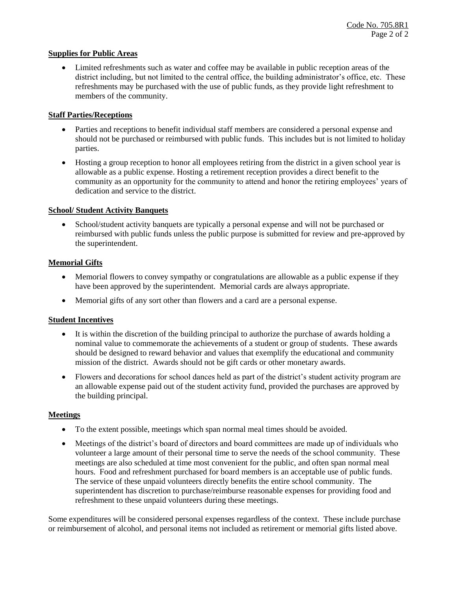# **Supplies for Public Areas**

 Limited refreshments such as water and coffee may be available in public reception areas of the district including, but not limited to the central office, the building administrator's office, etc. These refreshments may be purchased with the use of public funds, as they provide light refreshment to members of the community.

# **Staff Parties/Receptions**

- Parties and receptions to benefit individual staff members are considered a personal expense and should not be purchased or reimbursed with public funds. This includes but is not limited to holiday parties.
- Hosting a group reception to honor all employees retiring from the district in a given school year is allowable as a public expense. Hosting a retirement reception provides a direct benefit to the community as an opportunity for the community to attend and honor the retiring employees' years of dedication and service to the district.

# **School/ Student Activity Banquets**

 School/student activity banquets are typically a personal expense and will not be purchased or reimbursed with public funds unless the public purpose is submitted for review and pre-approved by the superintendent.

# **Memorial Gifts**

- Memorial flowers to convey sympathy or congratulations are allowable as a public expense if they have been approved by the superintendent. Memorial cards are always appropriate.
- Memorial gifts of any sort other than flowers and a card are a personal expense.

## **Student Incentives**

- It is within the discretion of the building principal to authorize the purchase of awards holding a nominal value to commemorate the achievements of a student or group of students. These awards should be designed to reward behavior and values that exemplify the educational and community mission of the district. Awards should not be gift cards or other monetary awards.
- Flowers and decorations for school dances held as part of the district's student activity program are an allowable expense paid out of the student activity fund, provided the purchases are approved by the building principal.

## **Meetings**

- To the extent possible, meetings which span normal meal times should be avoided.
- Meetings of the district's board of directors and board committees are made up of individuals who volunteer a large amount of their personal time to serve the needs of the school community. These meetings are also scheduled at time most convenient for the public, and often span normal meal hours. Food and refreshment purchased for board members is an acceptable use of public funds. The service of these unpaid volunteers directly benefits the entire school community. The superintendent has discretion to purchase/reimburse reasonable expenses for providing food and refreshment to these unpaid volunteers during these meetings.

Some expenditures will be considered personal expenses regardless of the context. These include purchase or reimbursement of alcohol, and personal items not included as retirement or memorial gifts listed above.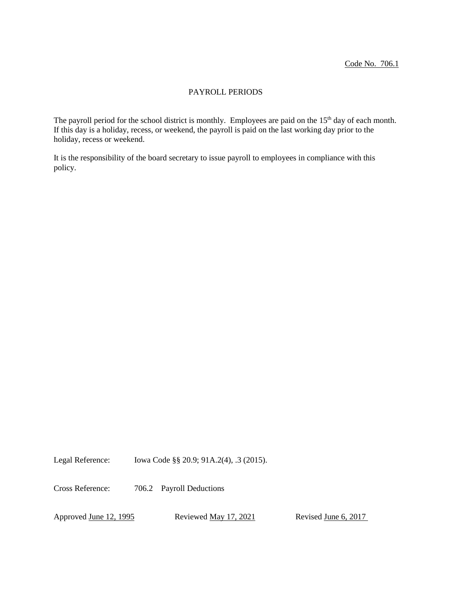# PAYROLL PERIODS

The payroll period for the school district is monthly. Employees are paid on the 15<sup>th</sup> day of each month. If this day is a holiday, recess, or weekend, the payroll is paid on the last working day prior to the holiday, recess or weekend.

It is the responsibility of the board secretary to issue payroll to employees in compliance with this policy.

Legal Reference: Iowa Code §§ 20.9; 91A.2(4), .3 (2015).

Cross Reference: 706.2 Payroll Deductions

Approved June 12, 1995 Reviewed May 17, 2021 Revised June 6, 2017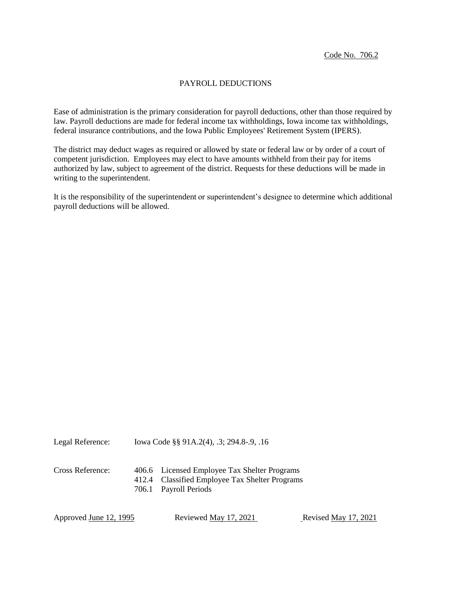Code No. 706.2

#### PAYROLL DEDUCTIONS

Ease of administration is the primary consideration for payroll deductions, other than those required by law. Payroll deductions are made for federal income tax withholdings, Iowa income tax withholdings, federal insurance contributions, and the Iowa Public Employees' Retirement System (IPERS).

The district may deduct wages as required or allowed by state or federal law or by order of a court of competent jurisdiction. Employees may elect to have amounts withheld from their pay for items authorized by law, subject to agreement of the district. Requests for these deductions will be made in writing to the superintendent.

It is the responsibility of the superintendent or superintendent's designee to determine which additional payroll deductions will be allowed.

Legal Reference: Iowa Code §§ 91A.2(4), .3; 294.8-.9, .16

Cross Reference: 406.6 Licensed Employee Tax Shelter Programs 412.4 Classified Employee Tax Shelter Programs 706.1 Payroll Periods

Approved June 12, 1995 Reviewed May 17, 2021 Revised May 17, 2021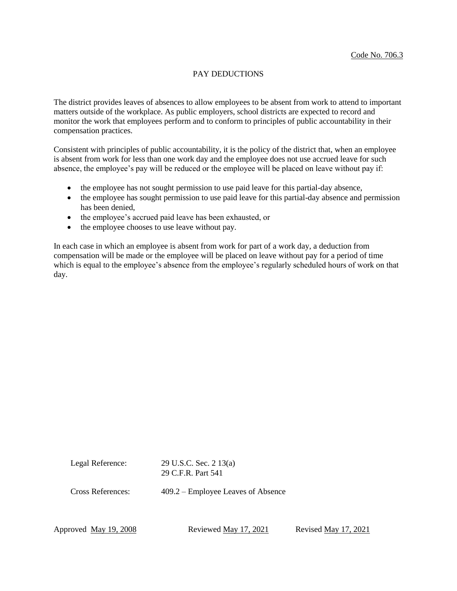# PAY DEDUCTIONS

The district provides leaves of absences to allow employees to be absent from work to attend to important matters outside of the workplace. As public employers, school districts are expected to record and monitor the work that employees perform and to conform to principles of public accountability in their compensation practices.

Consistent with principles of public accountability, it is the policy of the district that, when an employee is absent from work for less than one work day and the employee does not use accrued leave for such absence, the employee's pay will be reduced or the employee will be placed on leave without pay if:

- the employee has not sought permission to use paid leave for this partial-day absence,
- the employee has sought permission to use paid leave for this partial-day absence and permission has been denied
- the employee's accrued paid leave has been exhausted, or
- the employee chooses to use leave without pay.

In each case in which an employee is absent from work for part of a work day, a deduction from compensation will be made or the employee will be placed on leave without pay for a period of time which is equal to the employee's absence from the employee's regularly scheduled hours of work on that day.

Legal Reference: 29 U.S.C. Sec. 2 13(a) 29 C.F.R. Part 541

Cross References: 409.2 – Employee Leaves of Absence

Approved <u>May 19, 2008</u> Reviewed <u>May 17, 2021</u> Revised <u>May 17, 2021</u>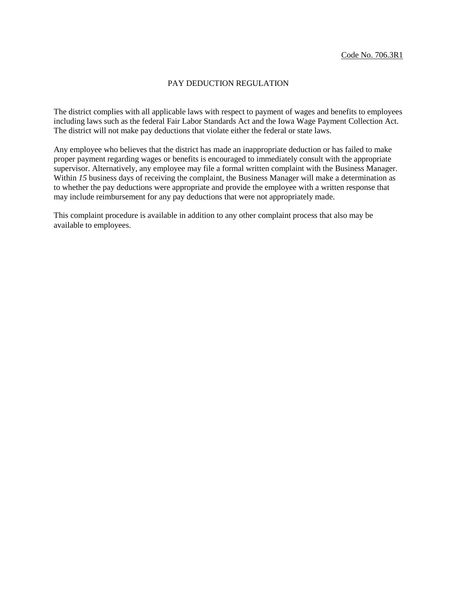#### PAY DEDUCTION REGULATION

The district complies with all applicable laws with respect to payment of wages and benefits to employees including laws such as the federal Fair Labor Standards Act and the Iowa Wage Payment Collection Act. The district will not make pay deductions that violate either the federal or state laws.

Any employee who believes that the district has made an inappropriate deduction or has failed to make proper payment regarding wages or benefits is encouraged to immediately consult with the appropriate supervisor. Alternatively, any employee may file a formal written complaint with the Business Manager*.*  Within *15* business days of receiving the complaint, the Business Manager will make a determination as to whether the pay deductions were appropriate and provide the employee with a written response that may include reimbursement for any pay deductions that were not appropriately made.

This complaint procedure is available in addition to any other complaint process that also may be available to employees.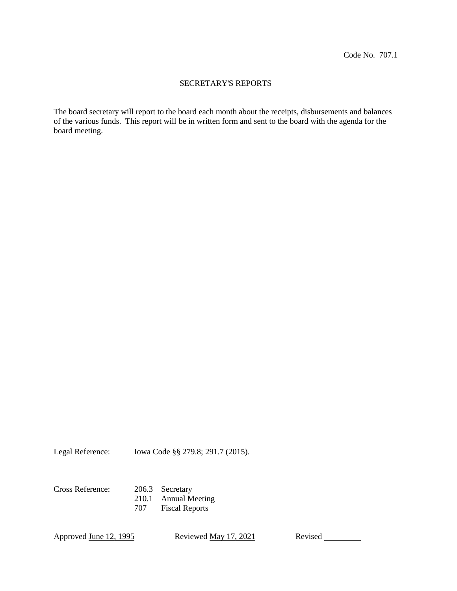## SECRETARY'S REPORTS

The board secretary will report to the board each month about the receipts, disbursements and balances of the various funds. This report will be in written form and sent to the board with the agenda for the board meeting.

Legal Reference: Iowa Code §§ 279.8; 291.7 (2015).

Cross Reference: 206.3 Secretary 210.1 Annual Meeting 707 Fiscal Reports

Approved June 12, 1995 Reviewed May 17, 2021 Revised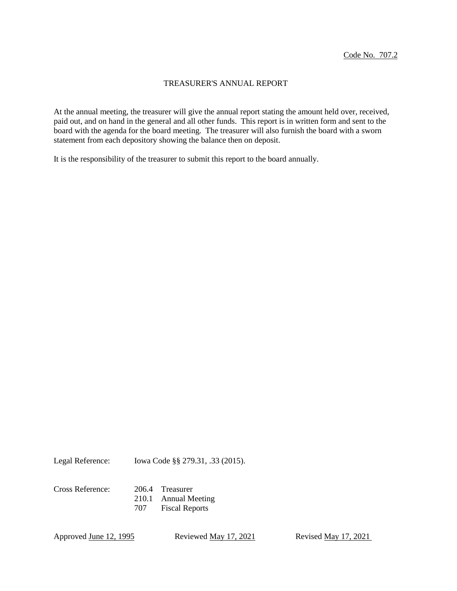#### TREASURER'S ANNUAL REPORT

At the annual meeting, the treasurer will give the annual report stating the amount held over, received, paid out, and on hand in the general and all other funds. This report is in written form and sent to the board with the agenda for the board meeting. The treasurer will also furnish the board with a sworn statement from each depository showing the balance then on deposit.

It is the responsibility of the treasurer to submit this report to the board annually.

Legal Reference: Iowa Code §§ 279.31, .33 (2015).

Cross Reference: 206.4 Treasurer

210.1 Annual Meeting 707 Fiscal Reports

Approved <u>June 12, 1995</u> Reviewed <u>May 17, 2021</u> Revised <u>May 17, 2021</u>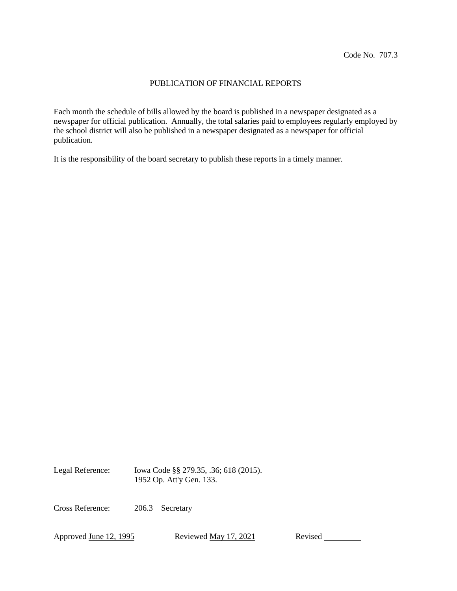#### PUBLICATION OF FINANCIAL REPORTS

Each month the schedule of bills allowed by the board is published in a newspaper designated as a newspaper for official publication. Annually, the total salaries paid to employees regularly employed by the school district will also be published in a newspaper designated as a newspaper for official publication.

It is the responsibility of the board secretary to publish these reports in a timely manner.

Legal Reference: Iowa Code §§ 279.35, .36; 618 (2015). 1952 Op. Att'y Gen. 133.

Cross Reference: 206.3 Secretary

Approved June 12, 1995 Reviewed May 17, 2021 Revised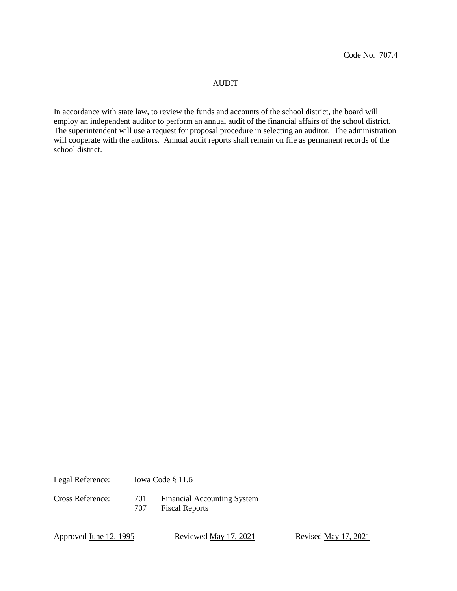#### AUDIT

In accordance with state law, to review the funds and accounts of the school district, the board will employ an independent auditor to perform an annual audit of the financial affairs of the school district. The superintendent will use a request for proposal procedure in selecting an auditor. The administration will cooperate with the auditors. Annual audit reports shall remain on file as permanent records of the school district.

Legal Reference: Iowa Code § 11.6

Cross Reference: 701 Financial Accounting System 707 Fiscal Reports

Approved <u>June 12, 1995</u> Reviewed <u>May 17, 2021</u> Revised <u>May 17, 2021</u>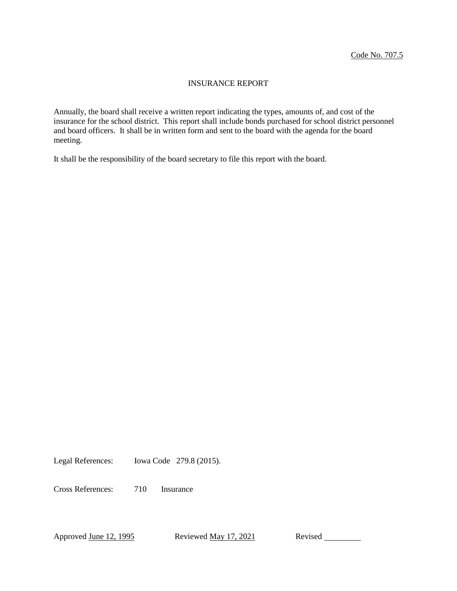#### INSURANCE REPORT

Annually, the board shall receive a written report indicating the types, amounts of, and cost of the insurance for the school district. This report shall include bonds purchased for school district personnel and board officers. It shall be in written form and sent to the board with the agenda for the board meeting.

It shall be the responsibility of the board secretary to file this report with the board.

Legal References: Iowa Code 279.8 (2015).

Cross References: 710 Insurance

Approved June 12, 1995 Reviewed May 17, 2021 Revised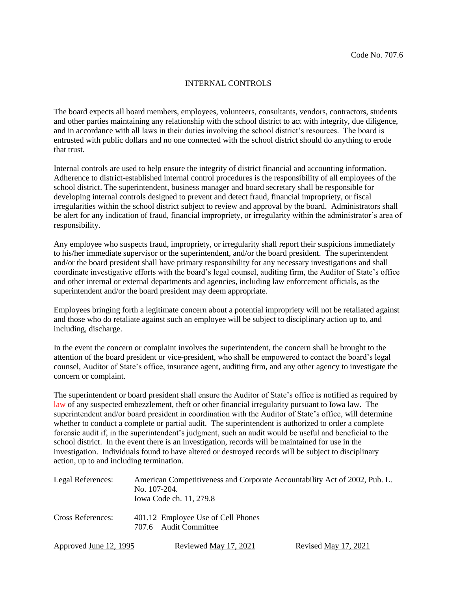#### INTERNAL CONTROLS

The board expects all board members, employees, volunteers, consultants, vendors, contractors, students and other parties maintaining any relationship with the school district to act with integrity, due diligence, and in accordance with all laws in their duties involving the school district's resources. The board is entrusted with public dollars and no one connected with the school district should do anything to erode that trust.

Internal controls are used to help ensure the integrity of district financial and accounting information. Adherence to district-established internal control procedures is the responsibility of all employees of the school district. The superintendent, business manager and board secretary shall be responsible for developing internal controls designed to prevent and detect fraud, financial impropriety, or fiscal irregularities within the school district subject to review and approval by the board. Administrators shall be alert for any indication of fraud, financial impropriety, or irregularity within the administrator's area of responsibility.

Any employee who suspects fraud, impropriety, or irregularity shall report their suspicions immediately to his/her immediate supervisor or the superintendent, and/or the board president. The superintendent and/or the board president shall have primary responsibility for any necessary investigations and shall coordinate investigative efforts with the board's legal counsel, auditing firm, the Auditor of State's office and other internal or external departments and agencies, including law enforcement officials, as the superintendent and/or the board president may deem appropriate.

Employees bringing forth a legitimate concern about a potential impropriety will not be retaliated against and those who do retaliate against such an employee will be subject to disciplinary action up to, and including, discharge.

In the event the concern or complaint involves the superintendent, the concern shall be brought to the attention of the board president or vice-president, who shall be empowered to contact the board's legal counsel, Auditor of State's office, insurance agent, auditing firm, and any other agency to investigate the concern or complaint.

The superintendent or board president shall ensure the Auditor of State's office is notified as required by law of any suspected embezzlement, theft or other financial irregularity pursuant to Iowa law. The superintendent and/or board president in coordination with the Auditor of State's office, will determine whether to conduct a complete or partial audit. The superintendent is authorized to order a complete forensic audit if, in the superintendent's judgment, such an audit would be useful and beneficial to the school district. In the event there is an investigation, records will be maintained for use in the investigation. Individuals found to have altered or destroyed records will be subject to disciplinary action, up to and including termination.

| Legal References:        | American Competitiveness and Corporate Accountability Act of 2002, Pub. L.<br>No. 107-204.<br>Iowa Code ch. 11, 279.8 |                      |
|--------------------------|-----------------------------------------------------------------------------------------------------------------------|----------------------|
| <b>Cross References:</b> | 401.12 Employee Use of Cell Phones<br>707.6 Audit Committee                                                           |                      |
| Approved June 12, 1995   | Reviewed May 17, 2021                                                                                                 | Revised May 17, 2021 |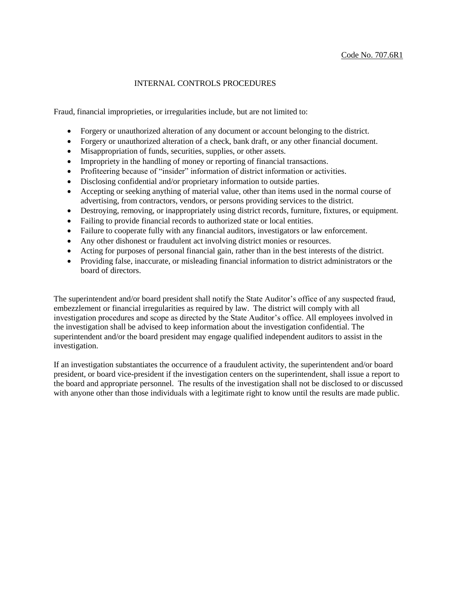#### INTERNAL CONTROLS PROCEDURES

Fraud, financial improprieties, or irregularities include, but are not limited to:

- Forgery or unauthorized alteration of any document or account belonging to the district.
- Forgery or unauthorized alteration of a check, bank draft, or any other financial document.
- Misappropriation of funds, securities, supplies, or other assets.
- Impropriety in the handling of money or reporting of financial transactions.
- Profiteering because of "insider" information of district information or activities.
- Disclosing confidential and/or proprietary information to outside parties.
- Accepting or seeking anything of material value, other than items used in the normal course of advertising, from contractors, vendors, or persons providing services to the district.
- Destroying, removing, or inappropriately using district records, furniture, fixtures, or equipment.
- Failing to provide financial records to authorized state or local entities.
- Failure to cooperate fully with any financial auditors, investigators or law enforcement.
- Any other dishonest or fraudulent act involving district monies or resources.
- Acting for purposes of personal financial gain, rather than in the best interests of the district.
- Providing false, inaccurate, or misleading financial information to district administrators or the board of directors.

The superintendent and/or board president shall notify the State Auditor's office of any suspected fraud, embezzlement or financial irregularities as required by law. The district will comply with all investigation procedures and scope as directed by the State Auditor's office. All employees involved in the investigation shall be advised to keep information about the investigation confidential. The superintendent and/or the board president may engage qualified independent auditors to assist in the investigation.

If an investigation substantiates the occurrence of a fraudulent activity, the superintendent and/or board president, or board vice-president if the investigation centers on the superintendent, shall issue a report to the board and appropriate personnel. The results of the investigation shall not be disclosed to or discussed with anyone other than those individuals with a legitimate right to know until the results are made public.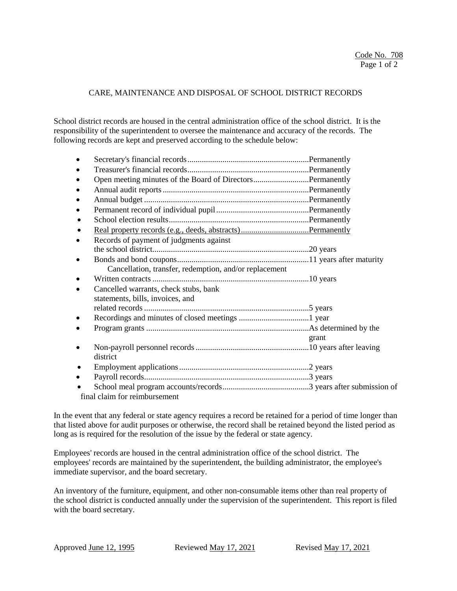#### CARE, MAINTENANCE AND DISPOSAL OF SCHOOL DISTRICT RECORDS

School district records are housed in the central administration office of the school district. It is the responsibility of the superintendent to oversee the maintenance and accuracy of the records. The following records are kept and preserved according to the schedule below:

| Open meeting minutes of the Board of DirectorsPermanently |       |
|-----------------------------------------------------------|-------|
|                                                           |       |
|                                                           |       |
|                                                           |       |
|                                                           |       |
|                                                           |       |
| Records of payment of judgments against                   |       |
|                                                           |       |
|                                                           |       |
| Cancellation, transfer, redemption, and/or replacement    |       |
|                                                           |       |
| Cancelled warrants, check stubs, bank                     |       |
| statements, bills, invoices, and                          |       |
|                                                           |       |
|                                                           |       |
|                                                           |       |
|                                                           | grant |
|                                                           |       |
| district                                                  |       |
|                                                           |       |
|                                                           |       |
|                                                           |       |
| final claim for reimbursement                             |       |

In the event that any federal or state agency requires a record be retained for a period of time longer than that listed above for audit purposes or otherwise, the record shall be retained beyond the listed period as long as is required for the resolution of the issue by the federal or state agency.

Employees' records are housed in the central administration office of the school district. The employees' records are maintained by the superintendent, the building administrator, the employee's immediate supervisor, and the board secretary.

An inventory of the furniture, equipment, and other non-consumable items other than real property of the school district is conducted annually under the supervision of the superintendent. This report is filed with the board secretary.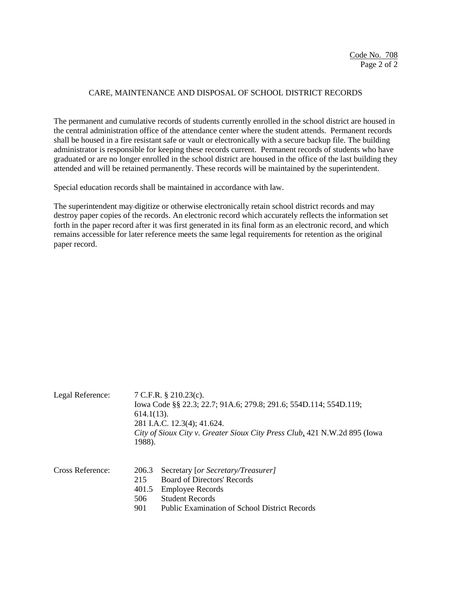#### CARE, MAINTENANCE AND DISPOSAL OF SCHOOL DISTRICT RECORDS

The permanent and cumulative records of students currently enrolled in the school district are housed in the central administration office of the attendance center where the student attends. Permanent records shall be housed in a fire resistant safe or vault or electronically with a secure backup file. The building administrator is responsible for keeping these records current. Permanent records of students who have graduated or are no longer enrolled in the school district are housed in the office of the last building they attended and will be retained permanently. These records will be maintained by the superintendent.

Special education records shall be maintained in accordance with law.

The superintendent may digitize or otherwise electronically retain school district records and may destroy paper copies of the records. An electronic record which accurately reflects the information set forth in the paper record after it was first generated in its final form as an electronic record, and which remains accessible for later reference meets the same legal requirements for retention as the original paper record.

| Legal Reference: | 7 C.F.R. $\S$ 210.23(c).<br>Iowa Code §§ 22.3; 22.7; 91A.6; 279.8; 291.6; 554D.114; 554D.119;<br>$614.1(13)$ .<br>281 I.A.C. 12.3(4); 41.624.<br>City of Sioux City v. Greater Sioux City Press Club, 421 N.W.2d 895 (Iowa<br>1988). |
|------------------|--------------------------------------------------------------------------------------------------------------------------------------------------------------------------------------------------------------------------------------|
| Cross Reference: | Secretary [or Secretary/Treasurer]<br>206.3<br><b>Board of Directors' Records</b><br>215<br>401.5<br><b>Employee Records</b><br><b>Student Records</b><br>506<br>901<br><b>Public Examination of School District Records</b>         |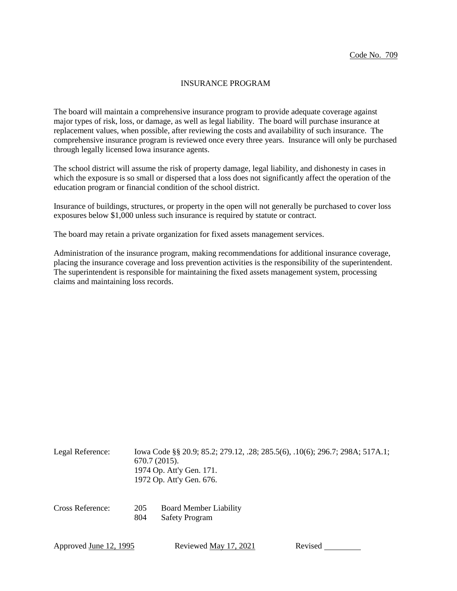#### INSURANCE PROGRAM

The board will maintain a comprehensive insurance program to provide adequate coverage against major types of risk, loss, or damage, as well as legal liability. The board will purchase insurance at replacement values, when possible, after reviewing the costs and availability of such insurance. The comprehensive insurance program is reviewed once every three years. Insurance will only be purchased through legally licensed Iowa insurance agents.

The school district will assume the risk of property damage, legal liability, and dishonesty in cases in which the exposure is so small or dispersed that a loss does not significantly affect the operation of the education program or financial condition of the school district.

Insurance of buildings, structures, or property in the open will not generally be purchased to cover loss exposures below \$1,000 unless such insurance is required by statute or contract.

The board may retain a private organization for fixed assets management services.

Administration of the insurance program, making recommendations for additional insurance coverage, placing the insurance coverage and loss prevention activities is the responsibility of the superintendent. The superintendent is responsible for maintaining the fixed assets management system, processing claims and maintaining loss records.

| Legal Reference: | $670.7(2015)$ . | Iowa Code §§ 20.9; 85.2; 279.12, .28; 285.5(6), .10(6); 296.7; 298A; 517A.1;<br>1974 Op. Att'y Gen. 171.<br>1972 Op. Att'y Gen. 676. |
|------------------|-----------------|--------------------------------------------------------------------------------------------------------------------------------------|
| Cross Reference: | 205<br>804      | <b>Board Member Liability</b><br><b>Safety Program</b>                                                                               |

| Approved <u>June 12, 1995</u> | Reviewed May 17, 2021 | Revised |
|-------------------------------|-----------------------|---------|
|                               |                       |         |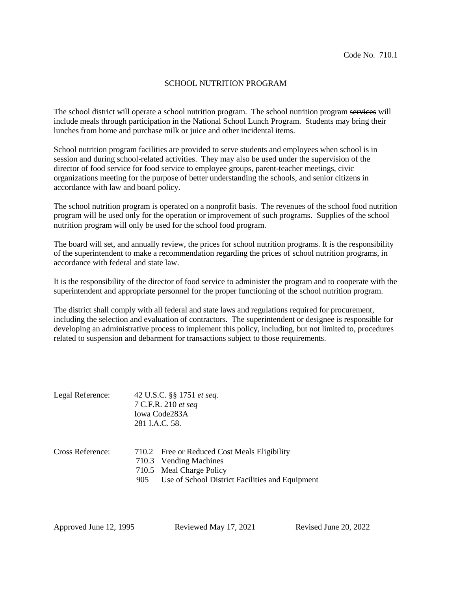#### SCHOOL NUTRITION PROGRAM

The school district will operate a school nutrition program. The school nutrition program services will include meals through participation in the National School Lunch Program. Students may bring their lunches from home and purchase milk or juice and other incidental items.

School nutrition program facilities are provided to serve students and employees when school is in session and during school-related activities. They may also be used under the supervision of the director of food service for food service to employee groups, parent-teacher meetings, civic organizations meeting for the purpose of better understanding the schools, and senior citizens in accordance with law and board policy.

The school nutrition program is operated on a nonprofit basis. The revenues of the school food-nutrition program will be used only for the operation or improvement of such programs. Supplies of the school nutrition program will only be used for the school food program.

The board will set, and annually review, the prices for school nutrition programs. It is the responsibility of the superintendent to make a recommendation regarding the prices of school nutrition programs, in accordance with federal and state law.

It is the responsibility of the director of food service to administer the program and to cooperate with the superintendent and appropriate personnel for the proper functioning of the school nutrition program.

The district shall comply with all federal and state laws and regulations required for procurement, including the selection and evaluation of contractors. The superintendent or designee is responsible for developing an administrative process to implement this policy, including, but not limited to, procedures related to suspension and debarment for transactions subject to those requirements.

| Legal Reference: | 42 U.S.C. §§ 1751 et seq.<br>7 C.F.R. 210 et seq<br>Iowa Code283A<br>281 I.A.C. 58.                                                                          |
|------------------|--------------------------------------------------------------------------------------------------------------------------------------------------------------|
| Cross Reference: | 710.2 Free or Reduced Cost Meals Eligibility<br>710.3 Vending Machines<br>710.5 Meal Charge Policy<br>Use of School District Facilities and Equipment<br>905 |

Approved June 12, 1995 Reviewed May 17, 2021 Revised June 20, 2022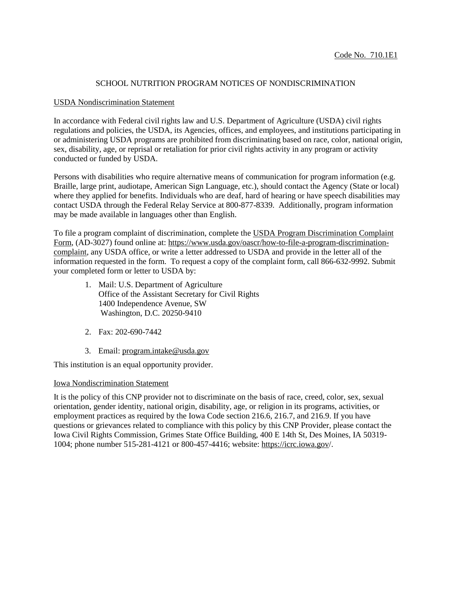## SCHOOL NUTRITION PROGRAM NOTICES OF NONDISCRIMINATION

#### USDA Nondiscrimination Statement

In accordance with Federal civil rights law and U.S. Department of Agriculture (USDA) civil rights regulations and policies, the USDA, its Agencies, offices, and employees, and institutions participating in or administering USDA programs are prohibited from discriminating based on race, color, national origin, sex, disability, age, or reprisal or retaliation for prior civil rights activity in any program or activity conducted or funded by USDA.

Persons with disabilities who require alternative means of communication for program information (e.g. Braille, large print, audiotape, American Sign Language, etc.), should contact the Agency (State or local) where they applied for benefits. Individuals who are deaf, hard of hearing or have speech disabilities may contact USDA through the Federal Relay Service at 800-877-8339. Additionally, program information may be made available in languages other than English.

To file a program complaint of discrimination, complete the USDA Program [Discrimination](https://www.usda.gov/sites/default/files/documents/USDA-OASCR%20P-Complaint-Form-0508-0002-508-11-28-17Fax2Mail.pdf) Complaint [Form,](https://www.usda.gov/sites/default/files/documents/USDA-OASCR%20P-Complaint-Form-0508-0002-508-11-28-17Fax2Mail.pdf) (AD-3027) found online at: [https://www.usda.gov/oascr/how-to-file-a-program-discrimination](https://www.usda.gov/oascr/how-to-file-a-program-discrimination-complaint)[complaint,](https://www.usda.gov/oascr/how-to-file-a-program-discrimination-complaint) any USDA office, or write a letter addressed to USDA and provide in the letter all of the information requested in the form. To request a copy of the complaint form, call 866-632-9992. Submit your completed form or letter to USDA by:

- 1. Mail: U.S. Department of Agriculture Office of the Assistant Secretary for Civil Rights 1400 Independence Avenue, SW Washington, D.C. 20250-9410
- 2. Fax: 202-690-7442
- 3. Email: [program.intake@usda.gov](mailto:program.intake@usda.gov)

This institution is an equal opportunity provider.

## Iowa Nondiscrimination Statement

It is the policy of this CNP provider not to discriminate on the basis of race, creed, color, sex, sexual orientation, gender identity, national origin, disability, age, or religion in its programs, activities, or employment practices as required by the Iowa Code section 216.6, 216.7, and 216.9. If you have questions or grievances related to compliance with this policy by this CNP Provider, please contact the Iowa Civil Rights Commission, Grimes State Office Building, 400 E 14th St, Des Moines, IA 50319- 1004; phone number 515-281-4121 or 800-457-4416; website: <https://icrc.iowa.gov/>.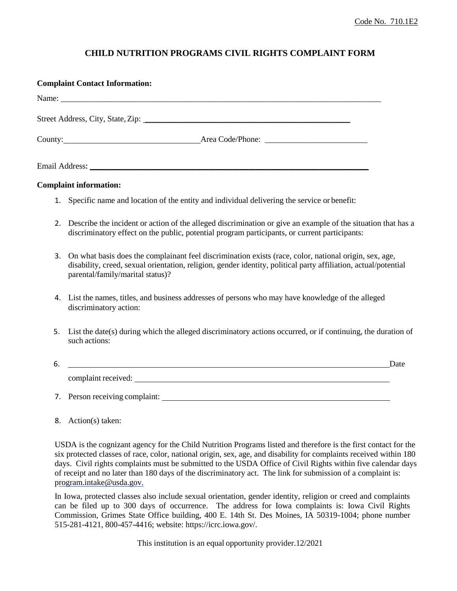# **CHILD NUTRITION PROGRAMS CIVIL RIGHTS COMPLAINT FORM**

|    | <b>Complaint Contact Information:</b>                                                                                                                                                                                                                         |
|----|---------------------------------------------------------------------------------------------------------------------------------------------------------------------------------------------------------------------------------------------------------------|
|    | Name: Name and the second contract of the second contract of the second contract of the second contract of the second contract of the second contract of the second contract of the second contract of the second contract of                                 |
|    |                                                                                                                                                                                                                                                               |
|    | County: <u>County:</u> County: County: County: County: County: County: County: County: County: County: County: County: County: County: County: County: County: County: County: County: County: County: County: County: County: Coun                           |
|    |                                                                                                                                                                                                                                                               |
|    | <b>Complaint information:</b>                                                                                                                                                                                                                                 |
|    | 1. Specific name and location of the entity and individual delivering the service or benefit:                                                                                                                                                                 |
| 2. | Describe the incident or action of the alleged discrimination or give an example of the situation that has a<br>discriminatory effect on the public, potential program participants, or current participants:                                                 |
| 3. | On what basis does the complainant feel discrimination exists (race, color, national origin, sex, age,<br>disability, creed, sexual orientation, religion, gender identity, political party affiliation, actual/potential<br>parental/family/marital status)? |
| 4. | List the names, titles, and business addresses of persons who may have knowledge of the alleged<br>discriminatory action:                                                                                                                                     |
| 5. | List the date(s) during which the alleged discriminatory actions occurred, or if continuing, the duration of<br>such actions:                                                                                                                                 |
| 6. | <u>Date</u> and the contract of the contract of the contract of the contract of the contract of the contract of the contract of the contract of the contract of the contract of the contract of the contract of the contract of the                           |
|    |                                                                                                                                                                                                                                                               |
| 7. |                                                                                                                                                                                                                                                               |

8. Action(s) taken:

USDA is the cognizant agency for the Child Nutrition Programs listed and therefore is the first contact for the six protected classes of race, color, national origin, sex, age, and disability for complaints received within 180 days. Civil rights complaints must be submitted to the USDA Office of Civil Rights within five calendar days of receipt and no later than 180 days of the discriminatory act. The link for submission of a complaint is: [program.intake@usda.gov.](mailto:program.intake@usda.gov)

In Iowa, protected classes also include sexual orientation, gender identity, religion or creed and complaints can be filed up to 300 days of occurrence. The address for Iowa complaints is: Iowa Civil Rights Commission, Grimes State Office building, 400 E. 14th St. Des Moines, IA 50319-1004; phone number 515-281-4121, 800-457-4416; website: https://icrc.iowa.gov/.

This institution is an equal opportunity provider.12/2021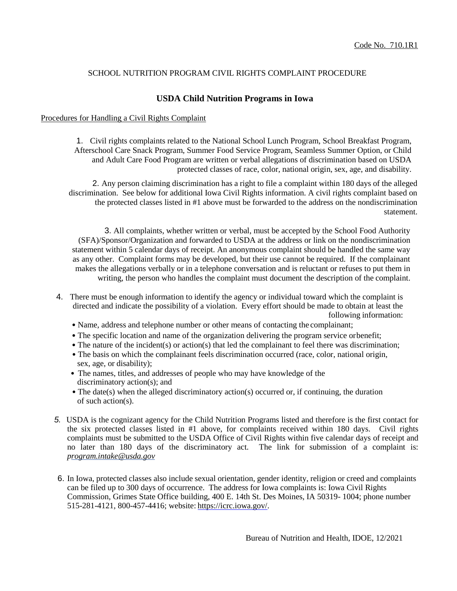# SCHOOL NUTRITION PROGRAM CIVIL RIGHTS COMPLAINT PROCEDURE

# **USDA Child Nutrition Programs in Iowa**

#### Procedures for Handling a Civil Rights Complaint

1. Civil rights complaints related to the National School Lunch Program, School Breakfast Program, Afterschool Care Snack Program, Summer Food Service Program, Seamless Summer Option, or Child and Adult Care Food Program are written or verbal allegations of discrimination based on USDA protected classes of race, color, national origin, sex, age, and disability.

2. Any person claiming discrimination has a right to file a complaint within 180 days of the alleged discrimination. See below for additional Iowa Civil Rights information. A civil rights complaint based on the protected classes listed in #1 above must be forwarded to the address on the nondiscrimination statement.

3. All complaints, whether written or verbal, must be accepted by the School Food Authority (SFA)/Sponsor/Organization and forwarded to USDA at the address or link on the nondiscrimination statement within 5 calendar days of receipt. An anonymous complaint should be handled the same way as any other. Complaint forms may be developed, but their use cannot be required. If the complainant makes the allegations verbally or in a telephone conversation and is reluctant or refuses to put them in writing, the person who handles the complaint must document the description of the complaint.

- 4. There must be enough information to identify the agency or individual toward which the complaint is directed and indicate the possibility of a violation. Every effort should be made to obtain at least the following information:
	- Name, address and telephone number or other means of contacting the complainant;
	- The specific location and name of the organization delivering the program service orbenefit;
	- The nature of the incident(s) or action(s) that led the complainant to feel there was discrimination;
	- The basis on which the complainant feels discrimination occurred (race, color, national origin, sex, age, or disability);
	- The names, titles, and addresses of people who may have knowledge of the discriminatory action(s); and
	- The date(s) when the alleged discriminatory action(s) occurred or, if continuing, the duration of such action(s).
- *5.* USDA is the cognizant agency for the Child Nutrition Programs listed and therefore is the first contact for the six protected classes listed in #1 above, for complaints received within 180 days. Civil rights complaints must be submitted to the USDA Office of Civil Rights within five calendar days of receipt and no later than 180 days of the discriminatory act. The link for submission of a complaint is: *[program.intake@usda.gov](mailto:program.intake@usda.gov)*
- 6. In Iowa, protected classes also include sexual orientation, gender identity, religion or creed and complaints can be filed up to 300 days of occurrence. The address for Iowa complaints is: Iowa Civil Rights Commission, Grimes State Office building, 400 E. 14th St. Des Moines, IA 50319- 1004; phone number 515-281-4121, 800-457-4416; website: https://icrc.iowa.gov/.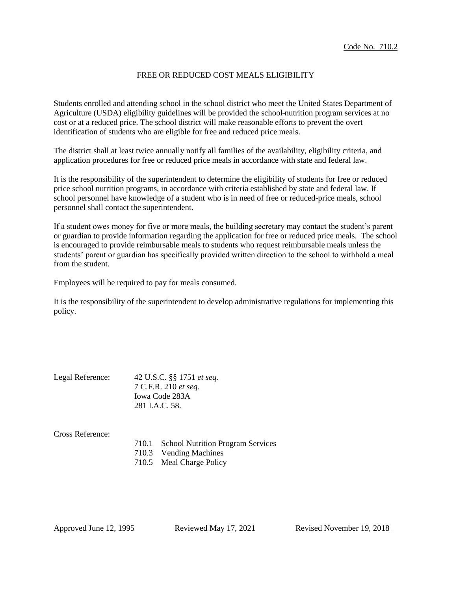#### FREE OR REDUCED COST MEALS ELIGIBILITY

Students enrolled and attending school in the school district who meet the United States Department of Agriculture (USDA) eligibility guidelines will be provided the school nutrition program services at no cost or at a reduced price. The school district will make reasonable efforts to prevent the overt identification of students who are eligible for free and reduced price meals.

The district shall at least twice annually notify all families of the availability, eligibility criteria, and application procedures for free or reduced price meals in accordance with state and federal law.

It is the responsibility of the superintendent to determine the eligibility of students for free or reduced price school nutrition programs, in accordance with criteria established by state and federal law. If school personnel have knowledge of a student who is in need of free or reduced-price meals, school personnel shall contact the superintendent.

If a student owes money for five or more meals, the building secretary may contact the student's parent or guardian to provide information regarding the application for free or reduced price meals. The school is encouraged to provide reimbursable meals to students who request reimbursable meals unless the students' parent or guardian has specifically provided written direction to the school to withhold a meal from the student.

Employees will be required to pay for meals consumed.

It is the responsibility of the superintendent to develop administrative regulations for implementing this policy.

| Legal Reference: | 42 U.S.C. §§ 1751 et seq. |  |
|------------------|---------------------------|--|
|                  | 7 C.F.R. 210 et seq.      |  |
|                  | Iowa Code 283A            |  |
|                  | 281 I.A.C. 58.            |  |
|                  |                           |  |
| Cross Reference: |                           |  |

| 710.1 School Nutrition Program Services |
|-----------------------------------------|
| 710.3 Vending Machines                  |
| 710.5 Meal Charge Policy                |

Approved June 12, 1995 Reviewed May 17, 2021 Revised November 19, 2018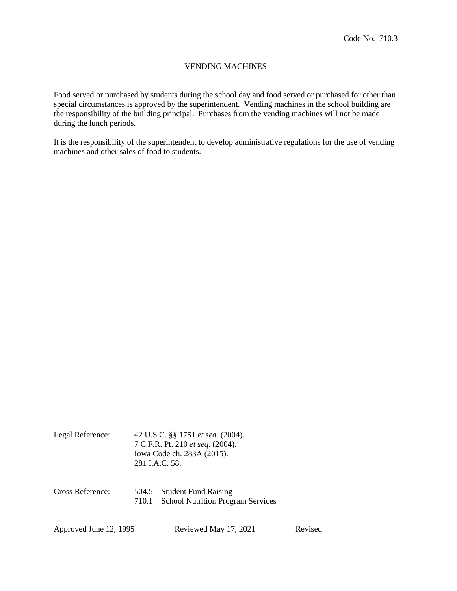# VENDING MACHINES

Food served or purchased by students during the school day and food served or purchased for other than special circumstances is approved by the superintendent. Vending machines in the school building are the responsibility of the building principal. Purchases from the vending machines will not be made during the lunch periods.

It is the responsibility of the superintendent to develop administrative regulations for the use of vending machines and other sales of food to students.

| 42 U.S.C. §§ 1751 <i>et seq.</i> (2004). |
|------------------------------------------|
| 7 C.F.R. Pt. 210 et seq. (2004).         |
| Iowa Code ch. 283A (2015).               |
| 281 I.A.C. 58.                           |
|                                          |

Cross Reference: 504.5 Student Fund Raising 710.1 School Nutrition Program Services

Approved June 12, 1995 Reviewed May 17, 2021 Revised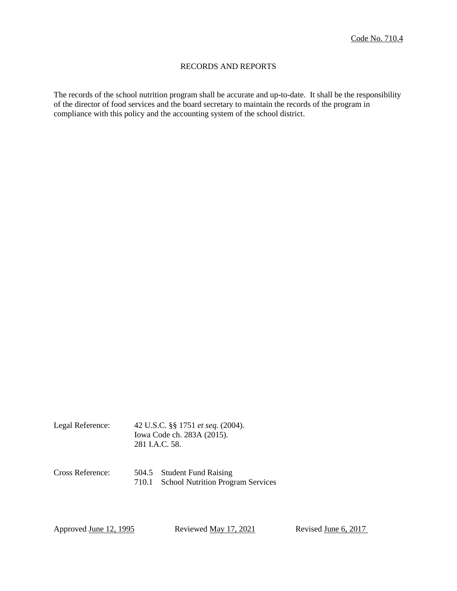# RECORDS AND REPORTS

The records of the school nutrition program shall be accurate and up-to-date. It shall be the responsibility of the director of food services and the board secretary to maintain the records of the program in compliance with this policy and the accounting system of the school district.

| Legal Reference: | 42 U.S.C. §§ 1751 <i>et seq.</i> (2004). |
|------------------|------------------------------------------|
|                  | Iowa Code ch. 283A (2015).               |
|                  | 281 I.A.C. 58.                           |

Cross Reference: 504.5 Student Fund Raising 710.1 School Nutrition Program Services

Approved <u>June 12, 1995</u> Reviewed <u>May 17, 2021</u> Revised <u>June 6, 2017</u>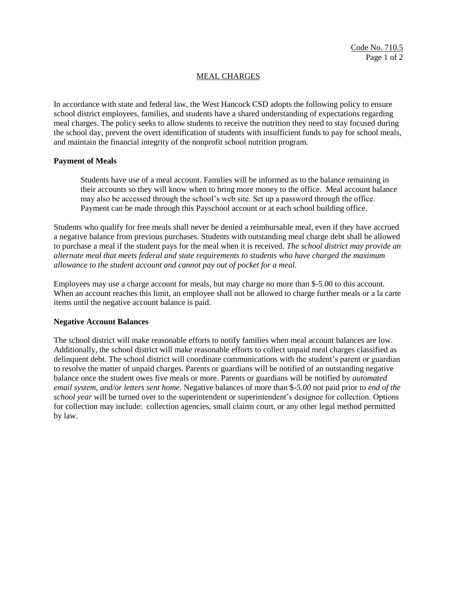## MEAL CHARGES

In accordance with state and federal law, the West Hancock CSD adopts the following policy to ensure school district employees, families, and students have a shared understanding of expectations regarding meal charges. The policy seeks to allow students to receive the nutrition they need to stay focused during the school day, prevent the overt identification of students with insufficient funds to pay for school meals, and maintain the financial integrity of the nonprofit school nutrition program.

#### **Payment of Meals**

Students have use of a meal account. Families will be informed as to the balance remaining in their accounts so they will know when to bring more money to the office. Meal account balance may also be accessed through the school's web site. Set up a password through the office. Payment can be made through this Payschool account or at each school building office.

Students who qualify for free meals shall never be denied a reimbursable meal, even if they have accrued a negative balance from previous purchases. Students with outstanding meal charge debt shall be allowed to purchase a meal if the student pays for the meal when it is received. *The school district may provide an alternate meal that meets federal and state requirements to students who have charged the maximum allowance to the student account and cannot pay out of pocket for a meal.*

Employees may use a charge account for meals, but may charge no more than \$-5.00 to this account. When an account reaches this limit, an employee shall not be allowed to charge further meals or a la carte items until the negative account balance is paid.

#### **Negative Account Balances**

The school district will make reasonable efforts to notify families when meal account balances are low. Additionally, the school district will make reasonable efforts to collect unpaid meal charges classified as delinquent debt. The school district will coordinate communications with the student's parent or guardian to resolve the matter of unpaid charges. Parents or guardians will be notified of an outstanding negative balance once the student owes five meals or more. Parents or guardians will be notified by *automated email system, and/or letters sent home.* Negative balances of more than \$*-5.00* not paid prior to *end of the school year* will be turned over to the superintendent or superintendent's designee for collection. Options for collection may include: collection agencies, small claims court, or any other legal method permitted by law.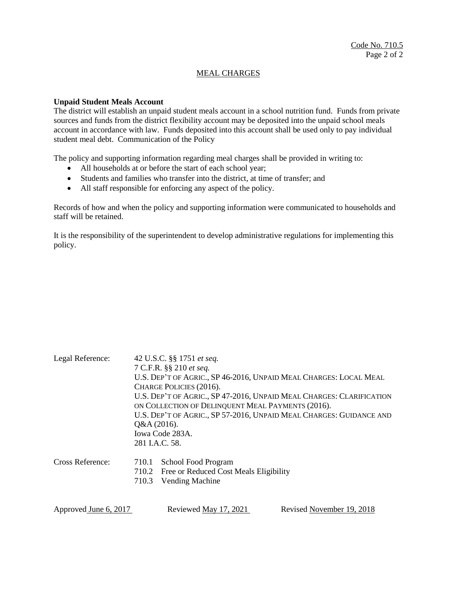# MEAL CHARGES

#### **Unpaid Student Meals Account**

The district will establish an unpaid student meals account in a school nutrition fund. Funds from private sources and funds from the district flexibility account may be deposited into the unpaid school meals account in accordance with law. Funds deposited into this account shall be used only to pay individual student meal debt. Communication of the Policy

The policy and supporting information regarding meal charges shall be provided in writing to:

- All households at or before the start of each school year;
- Students and families who transfer into the district, at time of transfer; and
- All staff responsible for enforcing any aspect of the policy.

Records of how and when the policy and supporting information were communicated to households and staff will be retained.

It is the responsibility of the superintendent to develop administrative regulations for implementing this policy.

| Legal Reference:      | 42 U.S.C. §§ 1751 et seq.                                                                                                                            |                                              |                           |  |  |  |  |
|-----------------------|------------------------------------------------------------------------------------------------------------------------------------------------------|----------------------------------------------|---------------------------|--|--|--|--|
|                       | 7 C.F.R. §§ 210 et seq.                                                                                                                              |                                              |                           |  |  |  |  |
|                       | U.S. DEP'T OF AGRIC., SP 46-2016, UNPAID MEAL CHARGES: LOCAL MEAL                                                                                    |                                              |                           |  |  |  |  |
|                       | CHARGE POLICIES (2016).<br>U.S. DEP'T OF AGRIC., SP 47-2016, UNPAID MEAL CHARGES: CLARIFICATION<br>ON COLLECTION OF DELINQUENT MEAL PAYMENTS (2016). |                                              |                           |  |  |  |  |
|                       |                                                                                                                                                      |                                              |                           |  |  |  |  |
|                       |                                                                                                                                                      |                                              |                           |  |  |  |  |
|                       | U.S. DEP'T OF AGRIC., SP 57-2016, UNPAID MEAL CHARGES: GUIDANCE AND                                                                                  |                                              |                           |  |  |  |  |
|                       | $Q&A(2016)$ .                                                                                                                                        |                                              |                           |  |  |  |  |
|                       | Iowa Code 283A.                                                                                                                                      |                                              |                           |  |  |  |  |
|                       | 281 I.A.C. 58.                                                                                                                                       |                                              |                           |  |  |  |  |
| Cross Reference:      | 710.1                                                                                                                                                | School Food Program                          |                           |  |  |  |  |
|                       |                                                                                                                                                      | 710.2 Free or Reduced Cost Meals Eligibility |                           |  |  |  |  |
|                       | 710.3                                                                                                                                                | Vending Machine                              |                           |  |  |  |  |
|                       |                                                                                                                                                      |                                              |                           |  |  |  |  |
| Approved June 6, 2017 |                                                                                                                                                      | Reviewed May 17, 2021                        | Revised November 19, 2018 |  |  |  |  |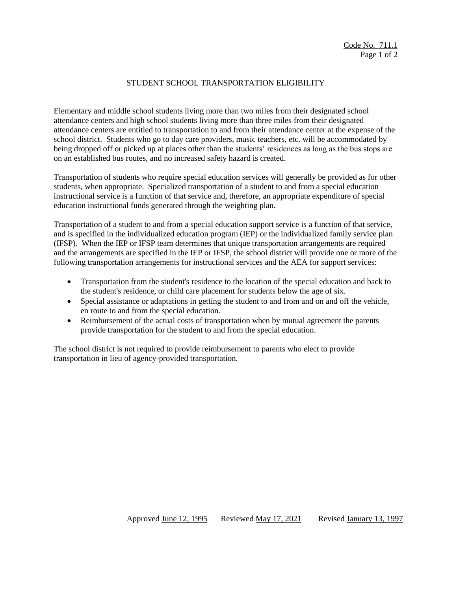## STUDENT SCHOOL TRANSPORTATION ELIGIBILITY

Elementary and middle school students living more than two miles from their designated school attendance centers and high school students living more than three miles from their designated attendance centers are entitled to transportation to and from their attendance center at the expense of the school district. Students who go to day care providers, music teachers, etc. will be accommodated by being dropped off or picked up at places other than the students' residences as long as the bus stops are on an established bus routes, and no increased safety hazard is created.

Transportation of students who require special education services will generally be provided as for other students, when appropriate. Specialized transportation of a student to and from a special education instructional service is a function of that service and, therefore, an appropriate expenditure of special education instructional funds generated through the weighting plan.

Transportation of a student to and from a special education support service is a function of that service, and is specified in the individualized education program (IEP) or the individualized family service plan (IFSP). When the IEP or IFSP team determines that unique transportation arrangements are required and the arrangements are specified in the IEP or IFSP, the school district will provide one or more of the following transportation arrangements for instructional services and the AEA for support services:

- Transportation from the student's residence to the location of the special education and back to the student's residence, or child care placement for students below the age of six.
- Special assistance or adaptations in getting the student to and from and on and off the vehicle, en route to and from the special education.
- Reimbursement of the actual costs of transportation when by mutual agreement the parents provide transportation for the student to and from the special education.

The school district is not required to provide reimbursement to parents who elect to provide transportation in lieu of agency-provided transportation.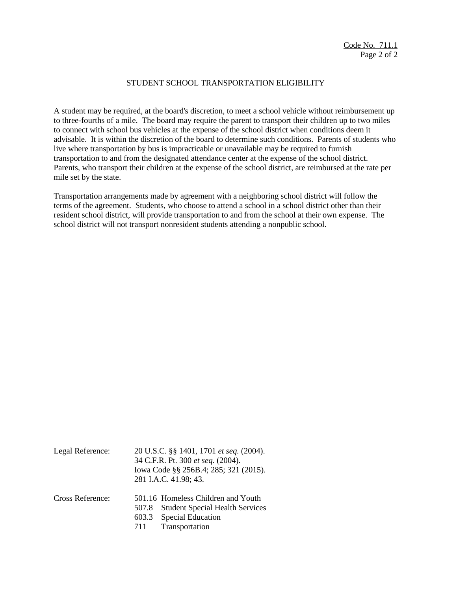#### STUDENT SCHOOL TRANSPORTATION ELIGIBILITY

A student may be required, at the board's discretion, to meet a school vehicle without reimbursement up to three-fourths of a mile. The board may require the parent to transport their children up to two miles to connect with school bus vehicles at the expense of the school district when conditions deem it advisable. It is within the discretion of the board to determine such conditions. Parents of students who live where transportation by bus is impracticable or unavailable may be required to furnish transportation to and from the designated attendance center at the expense of the school district. Parents, who transport their children at the expense of the school district, are reimbursed at the rate per mile set by the state.

Transportation arrangements made by agreement with a neighboring school district will follow the terms of the agreement. Students, who choose to attend a school in a school district other than their resident school district, will provide transportation to and from the school at their own expense. The school district will not transport nonresident students attending a nonpublic school.

| Legal Reference: |              | 20 U.S.C. §§ 1401, 1701 et seq. (2004).<br>34 C.F.R. Pt. 300 et seq. (2004).<br>Iowa Code §§ 256B.4; 285; 321 (2015).<br>281 I.A.C. 41.98; 43. |
|------------------|--------------|------------------------------------------------------------------------------------------------------------------------------------------------|
| Cross Reference: | 507.8<br>711 | 501.16 Homeless Children and Youth<br><b>Student Special Health Services</b><br>603.3 Special Education<br>Transportation                      |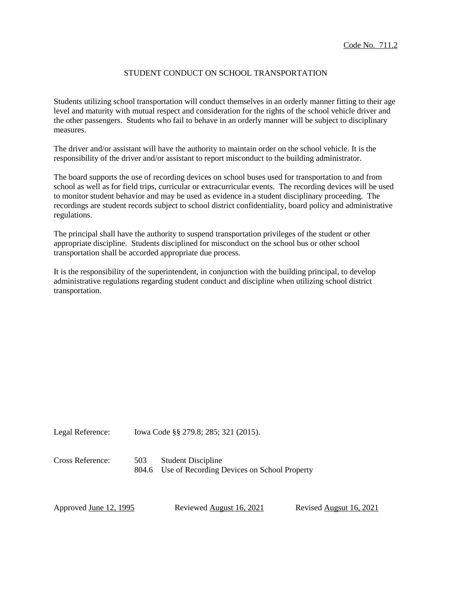## STUDENT CONDUCT ON SCHOOL TRANSPORTATION

Students utilizing school transportation will conduct themselves in an orderly manner fitting to their age level and maturity with mutual respect and consideration for the rights of the school vehicle driver and the other passengers. Students who fail to behave in an orderly manner will be subject to disciplinary measures.

The driver and/or assistant will have the authority to maintain order on the school vehicle. It is the responsibility of the driver and/or assistant to report misconduct to the building administrator.

The board supports the use of recording devices on school buses used for transportation to and from school as well as for field trips, curricular or extracurricular events. The recording devices will be used to monitor student behavior and may be used as evidence in a student disciplinary proceeding. The recordings are student records subject to school district confidentiality, board policy and administrative regulations.

The principal shall have the authority to suspend transportation privileges of the student or other appropriate discipline. Students disciplined for misconduct on the school bus or other school transportation shall be accorded appropriate due process.

It is the responsibility of the superintendent, in conjunction with the building principal, to develop administrative regulations regarding student conduct and discipline when utilizing school district transportation.

Legal Reference: Iowa Code §§ 279.8; 285; 321 (2015).

Cross Reference: 503 Student Discipline 804.6 Use of Recording Devices on School Property

Approved June 12, 1995 Reviewed August 16, 2021 Revised Augsut 16, 2021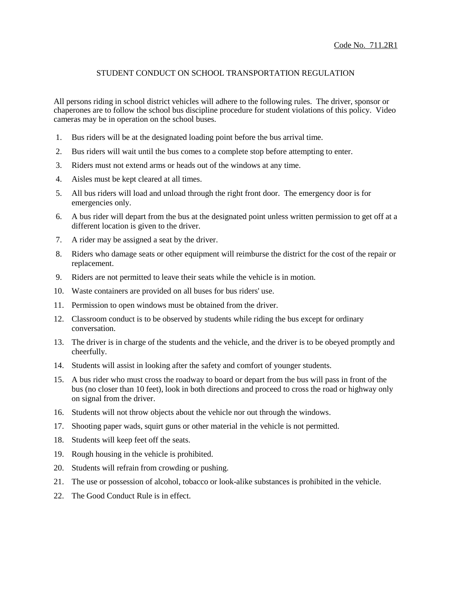# STUDENT CONDUCT ON SCHOOL TRANSPORTATION REGULATION

All persons riding in school district vehicles will adhere to the following rules. The driver, sponsor or chaperones are to follow the school bus discipline procedure for student violations of this policy. Video cameras may be in operation on the school buses.

- 1. Bus riders will be at the designated loading point before the bus arrival time.
- 2. Bus riders will wait until the bus comes to a complete stop before attempting to enter.
- 3. Riders must not extend arms or heads out of the windows at any time.
- 4. Aisles must be kept cleared at all times.
- 5. All bus riders will load and unload through the right front door. The emergency door is for emergencies only.
- 6. A bus rider will depart from the bus at the designated point unless written permission to get off at a different location is given to the driver.
- 7. A rider may be assigned a seat by the driver.
- 8. Riders who damage seats or other equipment will reimburse the district for the cost of the repair or replacement.
- 9. Riders are not permitted to leave their seats while the vehicle is in motion.
- 10. Waste containers are provided on all buses for bus riders' use.
- 11. Permission to open windows must be obtained from the driver.
- 12. Classroom conduct is to be observed by students while riding the bus except for ordinary conversation.
- 13. The driver is in charge of the students and the vehicle, and the driver is to be obeyed promptly and cheerfully.
- 14. Students will assist in looking after the safety and comfort of younger students.
- 15. A bus rider who must cross the roadway to board or depart from the bus will pass in front of the bus (no closer than 10 feet), look in both directions and proceed to cross the road or highway only on signal from the driver.
- 16. Students will not throw objects about the vehicle nor out through the windows.
- 17. Shooting paper wads, squirt guns or other material in the vehicle is not permitted.
- 18. Students will keep feet off the seats.
- 19. Rough housing in the vehicle is prohibited.
- 20. Students will refrain from crowding or pushing.
- 21. The use or possession of alcohol, tobacco or look-alike substances is prohibited in the vehicle.
- 22. The Good Conduct Rule is in effect.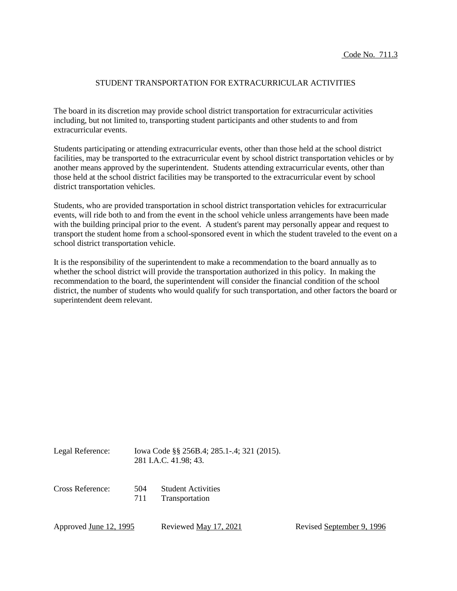# STUDENT TRANSPORTATION FOR EXTRACURRICULAR ACTIVITIES

The board in its discretion may provide school district transportation for extracurricular activities including, but not limited to, transporting student participants and other students to and from extracurricular events.

Students participating or attending extracurricular events, other than those held at the school district facilities, may be transported to the extracurricular event by school district transportation vehicles or by another means approved by the superintendent. Students attending extracurricular events, other than those held at the school district facilities may be transported to the extracurricular event by school district transportation vehicles.

Students, who are provided transportation in school district transportation vehicles for extracurricular events, will ride both to and from the event in the school vehicle unless arrangements have been made with the building principal prior to the event. A student's parent may personally appear and request to transport the student home from a school-sponsored event in which the student traveled to the event on a school district transportation vehicle.

It is the responsibility of the superintendent to make a recommendation to the board annually as to whether the school district will provide the transportation authorized in this policy. In making the recommendation to the board, the superintendent will consider the financial condition of the school district, the number of students who would qualify for such transportation, and other factors the board or superintendent deem relevant.

Legal Reference: Iowa Code §§ 256B.4; 285.1-.4; 321 (2015). 281 I.A.C. 41.98; 43.

Cross Reference: 504 Student Activities 711 Transportation

Approved <u>June 12, 1995</u> Reviewed <u>May 17, 2021</u> Revised September 9, 1996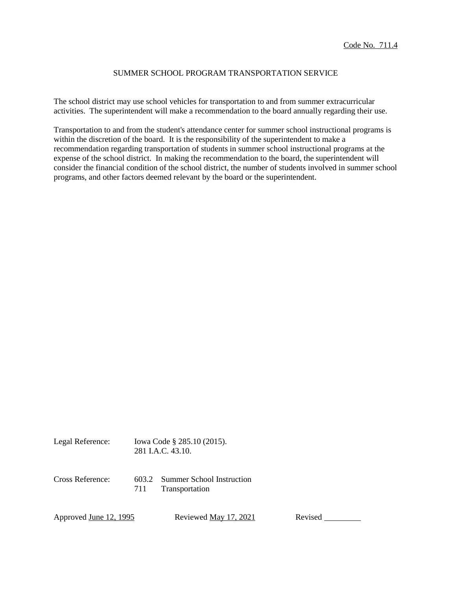## SUMMER SCHOOL PROGRAM TRANSPORTATION SERVICE

The school district may use school vehicles for transportation to and from summer extracurricular activities. The superintendent will make a recommendation to the board annually regarding their use.

Transportation to and from the student's attendance center for summer school instructional programs is within the discretion of the board. It is the responsibility of the superintendent to make a recommendation regarding transportation of students in summer school instructional programs at the expense of the school district. In making the recommendation to the board, the superintendent will consider the financial condition of the school district, the number of students involved in summer school programs, and other factors deemed relevant by the board or the superintendent.

Legal Reference: Iowa Code § 285.10 (2015). 281 I.A.C. 43.10. Cross Reference: 603.2 Summer School Instruction 711 Transportation

Approved June 12, 1995 Reviewed May 17, 2021 Revised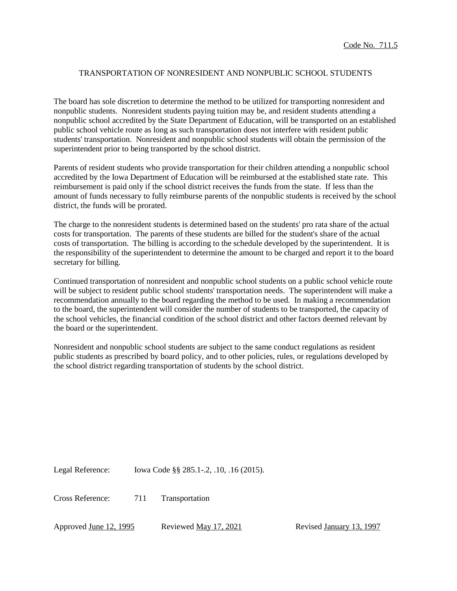## TRANSPORTATION OF NONRESIDENT AND NONPUBLIC SCHOOL STUDENTS

The board has sole discretion to determine the method to be utilized for transporting nonresident and nonpublic students. Nonresident students paying tuition may be, and resident students attending a nonpublic school accredited by the State Department of Education, will be transported on an established public school vehicle route as long as such transportation does not interfere with resident public students' transportation. Nonresident and nonpublic school students will obtain the permission of the superintendent prior to being transported by the school district.

Parents of resident students who provide transportation for their children attending a nonpublic school accredited by the Iowa Department of Education will be reimbursed at the established state rate. This reimbursement is paid only if the school district receives the funds from the state. If less than the amount of funds necessary to fully reimburse parents of the nonpublic students is received by the school district, the funds will be prorated.

The charge to the nonresident students is determined based on the students' pro rata share of the actual costs for transportation. The parents of these students are billed for the student's share of the actual costs of transportation. The billing is according to the schedule developed by the superintendent. It is the responsibility of the superintendent to determine the amount to be charged and report it to the board secretary for billing.

Continued transportation of nonresident and nonpublic school students on a public school vehicle route will be subject to resident public school students' transportation needs. The superintendent will make a recommendation annually to the board regarding the method to be used. In making a recommendation to the board, the superintendent will consider the number of students to be transported, the capacity of the school vehicles, the financial condition of the school district and other factors deemed relevant by the board or the superintendent.

Nonresident and nonpublic school students are subject to the same conduct regulations as resident public students as prescribed by board policy, and to other policies, rules, or regulations developed by the school district regarding transportation of students by the school district.

Legal Reference: Iowa Code §§ 285.1-.2, .10, .16 (2015).

Cross Reference: 711 Transportation

Approved June 12, 1995 Reviewed May 17, 2021 Revised January 13, 1997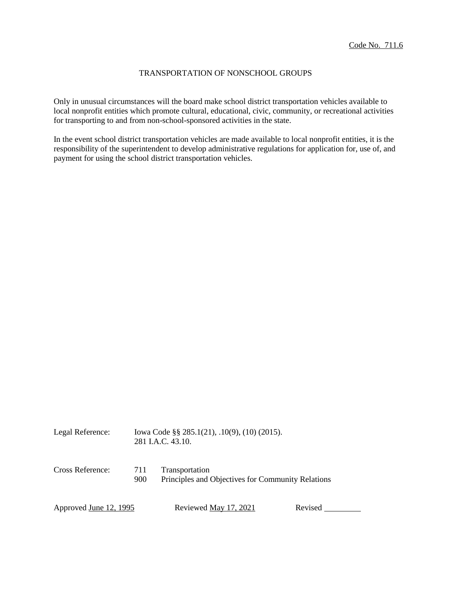# TRANSPORTATION OF NONSCHOOL GROUPS

Only in unusual circumstances will the board make school district transportation vehicles available to local nonprofit entities which promote cultural, educational, civic, community, or recreational activities for transporting to and from non-school-sponsored activities in the state.

In the event school district transportation vehicles are made available to local nonprofit entities, it is the responsibility of the superintendent to develop administrative regulations for application for, use of, and payment for using the school district transportation vehicles.

| Legal Reference:              |            | Iowa Code $\S$ § 285.1(21), .10(9), (10) (2015).<br>281 I.A.C. 43.10. |         |  |
|-------------------------------|------------|-----------------------------------------------------------------------|---------|--|
| Cross Reference:              | 711<br>900 | Transportation<br>Principles and Objectives for Community Relations   |         |  |
| Approved <u>June 12, 1995</u> |            | Reviewed <u>May 17, 2021</u>                                          | Revised |  |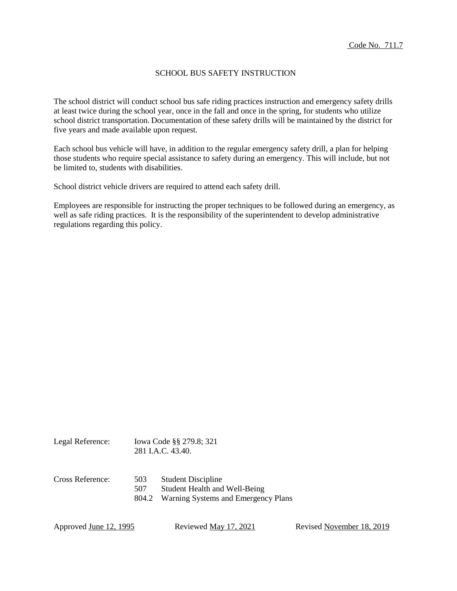# SCHOOL BUS SAFETY INSTRUCTION

The school district will conduct school bus safe riding practices instruction and emergency safety drills at least twice during the school year, once in the fall and once in the spring, for students who utilize school district transportation. Documentation of these safety drills will be maintained by the district for five years and made available upon request.

Each school bus vehicle will have, in addition to the regular emergency safety drill, a plan for helping those students who require special assistance to safety during an emergency. This will include, but not be limited to, students with disabilities.

School district vehicle drivers are required to attend each safety drill.

Employees are responsible for instructing the proper techniques to be followed during an emergency, as well as safe riding practices. It is the responsibility of the superintendent to develop administrative regulations regarding this policy.

| Legal Reference: |                     | Iowa Code §§ 279.8; 321<br>281 I.A.C. 43.40.                                                      |  |
|------------------|---------------------|---------------------------------------------------------------------------------------------------|--|
| Cross Reference: | 503<br>507<br>804.2 | <b>Student Discipline</b><br>Student Health and Well-Being<br>Warning Systems and Emergency Plans |  |

Approved June 12, 1995 Reviewed May 17, 2021 Revised November 18, 2019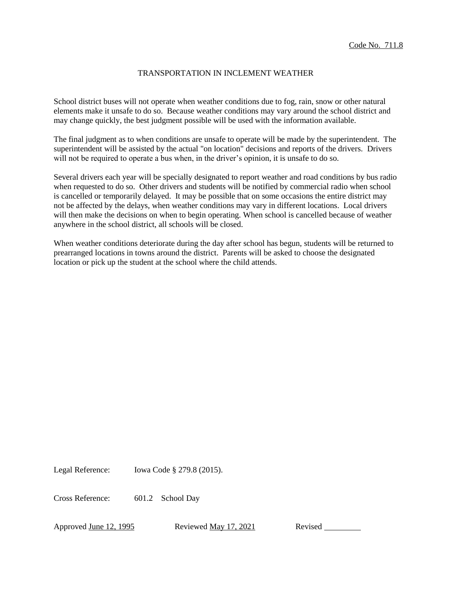# TRANSPORTATION IN INCLEMENT WEATHER

School district buses will not operate when weather conditions due to fog, rain, snow or other natural elements make it unsafe to do so. Because weather conditions may vary around the school district and may change quickly, the best judgment possible will be used with the information available.

The final judgment as to when conditions are unsafe to operate will be made by the superintendent. The superintendent will be assisted by the actual "on location" decisions and reports of the drivers. Drivers will not be required to operate a bus when, in the driver's opinion, it is unsafe to do so.

Several drivers each year will be specially designated to report weather and road conditions by bus radio when requested to do so. Other drivers and students will be notified by commercial radio when school is cancelled or temporarily delayed. It may be possible that on some occasions the entire district may not be affected by the delays, when weather conditions may vary in different locations. Local drivers will then make the decisions on when to begin operating. When school is cancelled because of weather anywhere in the school district, all schools will be closed.

When weather conditions deteriorate during the day after school has begun, students will be returned to prearranged locations in towns around the district. Parents will be asked to choose the designated location or pick up the student at the school where the child attends.

Legal Reference: Iowa Code § 279.8 (2015).

Cross Reference: 601.2 School Day

Approved June 12, 1995 Reviewed May 17, 2021 Revised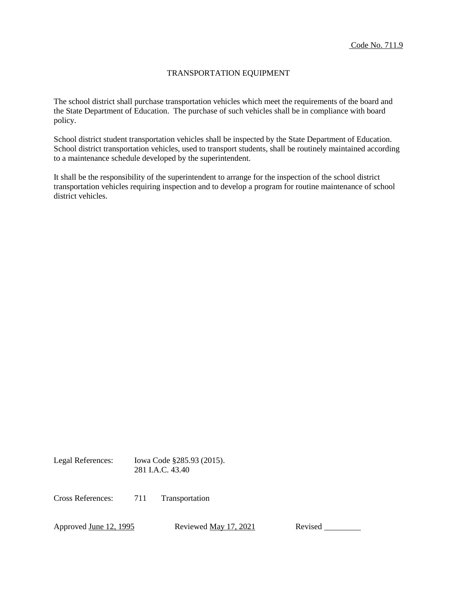# TRANSPORTATION EQUIPMENT

The school district shall purchase transportation vehicles which meet the requirements of the board and the State Department of Education. The purchase of such vehicles shall be in compliance with board policy.

School district student transportation vehicles shall be inspected by the State Department of Education. School district transportation vehicles, used to transport students, shall be routinely maintained according to a maintenance schedule developed by the superintendent.

It shall be the responsibility of the superintendent to arrange for the inspection of the school district transportation vehicles requiring inspection and to develop a program for routine maintenance of school district vehicles.

Legal References: Iowa Code §285.93 (2015). 281 I.A.C. 43.40

Cross References: 711 Transportation

Approved <u>June 12, 1995</u> Reviewed <u>May 17, 2021</u> Revised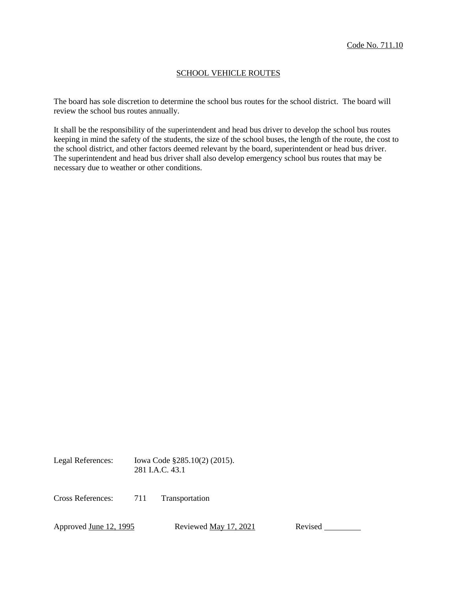# SCHOOL VEHICLE ROUTES

The board has sole discretion to determine the school bus routes for the school district. The board will review the school bus routes annually.

It shall be the responsibility of the superintendent and head bus driver to develop the school bus routes keeping in mind the safety of the students, the size of the school buses, the length of the route, the cost to the school district, and other factors deemed relevant by the board, superintendent or head bus driver. The superintendent and head bus driver shall also develop emergency school bus routes that may be necessary due to weather or other conditions.

Legal References: Iowa Code §285.10(2) (2015). 281 I.A.C. 43.1

Cross References: 711 Transportation

Approved June 12, 1995 Reviewed May 17, 2021 Revised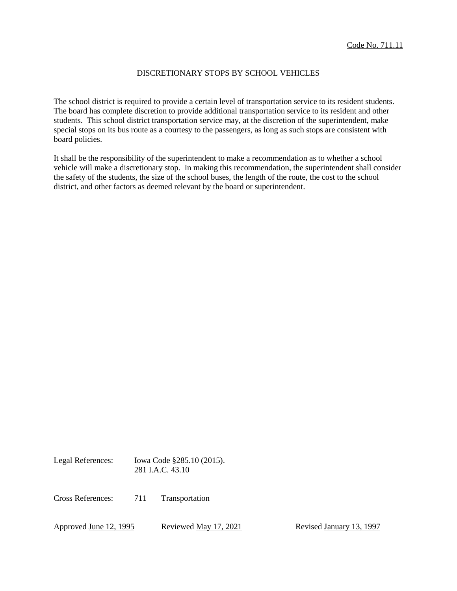# DISCRETIONARY STOPS BY SCHOOL VEHICLES

The school district is required to provide a certain level of transportation service to its resident students. The board has complete discretion to provide additional transportation service to its resident and other students. This school district transportation service may, at the discretion of the superintendent, make special stops on its bus route as a courtesy to the passengers, as long as such stops are consistent with board policies.

It shall be the responsibility of the superintendent to make a recommendation as to whether a school vehicle will make a discretionary stop. In making this recommendation, the superintendent shall consider the safety of the students, the size of the school buses, the length of the route, the cost to the school district, and other factors as deemed relevant by the board or superintendent.

Legal References: Iowa Code §285.10 (2015). 281 I.A.C. 43.10

Cross References: 711 Transportation

Approved June 12, 1995 Reviewed May 17, 2021 Revised January 13, 1997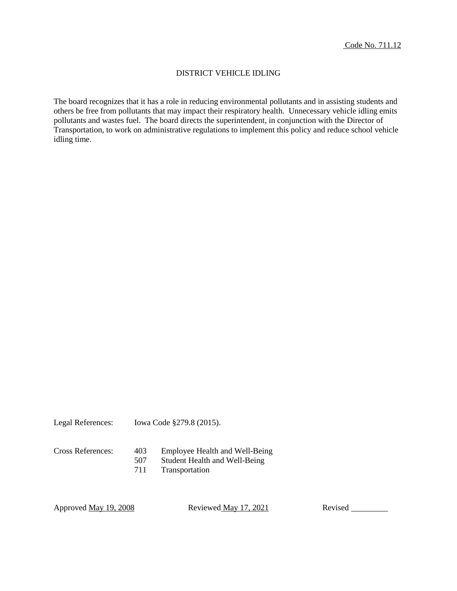# DISTRICT VEHICLE IDLING

The board recognizes that it has a role in reducing environmental pollutants and in assisting students and others be free from pollutants that may impact their respiratory health. Unnecessary vehicle idling emits pollutants and wastes fuel. The board directs the superintendent, in conjunction with the Director of Transportation, to work on administrative regulations to implement this policy and reduce school vehicle idling time.

Legal References: Iowa Code §279.8 (2015).

- Cross References: 403 Employee Health and Well-Being
	- Student Health and Well-Being
	- 711 Transportation

Approved <u>May 19, 2008</u> Reviewed May 17, 2021 Revised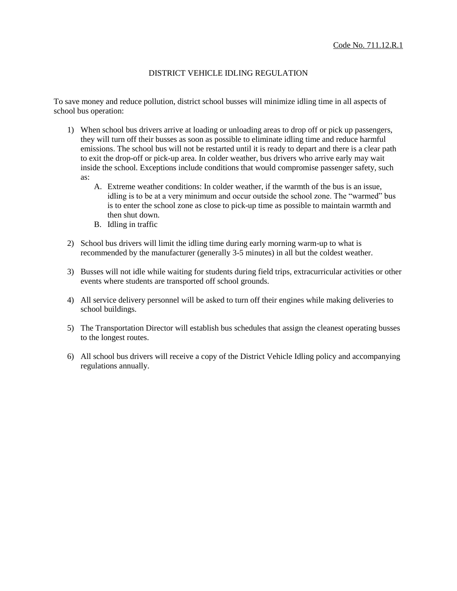# DISTRICT VEHICLE IDLING REGULATION

To save money and reduce pollution, district school busses will minimize idling time in all aspects of school bus operation:

- 1) When school bus drivers arrive at loading or unloading areas to drop off or pick up passengers, they will turn off their busses as soon as possible to eliminate idling time and reduce harmful emissions. The school bus will not be restarted until it is ready to depart and there is a clear path to exit the drop-off or pick-up area. In colder weather, bus drivers who arrive early may wait inside the school. Exceptions include conditions that would compromise passenger safety, such as:
	- A. Extreme weather conditions: In colder weather, if the warmth of the bus is an issue, idling is to be at a very minimum and occur outside the school zone. The "warmed" bus is to enter the school zone as close to pick-up time as possible to maintain warmth and then shut down.
	- B. Idling in traffic
- 2) School bus drivers will limit the idling time during early morning warm-up to what is recommended by the manufacturer (generally 3-5 minutes) in all but the coldest weather.
- 3) Busses will not idle while waiting for students during field trips, extracurricular activities or other events where students are transported off school grounds.
- 4) All service delivery personnel will be asked to turn off their engines while making deliveries to school buildings.
- 5) The Transportation Director will establish bus schedules that assign the cleanest operating busses to the longest routes.
- 6) All school bus drivers will receive a copy of the District Vehicle Idling policy and accompanying regulations annually.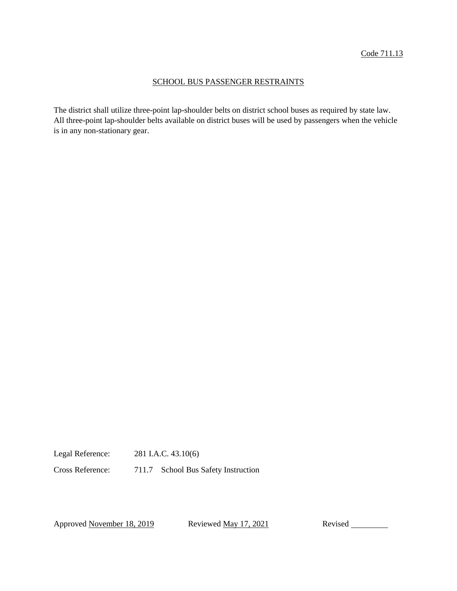#### SCHOOL BUS PASSENGER RESTRAINTS

The district shall utilize three-point lap-shoulder belts on district school buses as required by state law. All three-point lap-shoulder belts available on district buses will be used by passengers when the vehicle is in any non-stationary gear.

Legal Reference: 281 I.A.C. 43.10(6)

Cross Reference: 711.7 School Bus Safety Instruction

Approved November 18, 2019 Reviewed May 17, 2021 Revised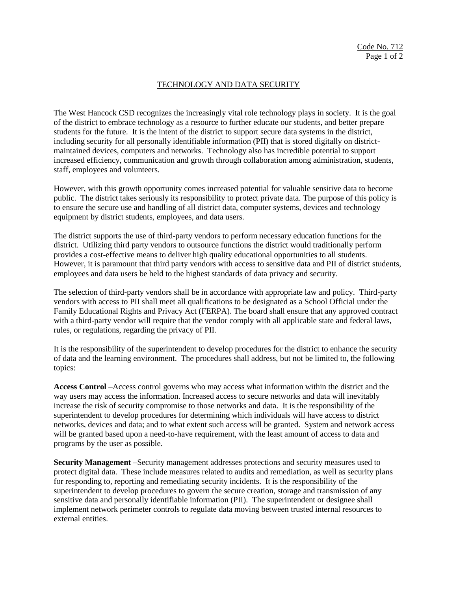# TECHNOLOGY AND DATA SECURITY

The West Hancock CSD recognizes the increasingly vital role technology plays in society. It is the goal of the district to embrace technology as a resource to further educate our students, and better prepare students for the future. It is the intent of the district to support secure data systems in the district, including security for all personally identifiable information (PII) that is stored digitally on districtmaintained devices, computers and networks. Technology also has incredible potential to support increased efficiency, communication and growth through collaboration among administration, students, staff, employees and volunteers.

However, with this growth opportunity comes increased potential for valuable sensitive data to become public. The district takes seriously its responsibility to protect private data. The purpose of this policy is to ensure the secure use and handling of all district data, computer systems, devices and technology equipment by district students, employees, and data users.

The district supports the use of third-party vendors to perform necessary education functions for the district. Utilizing third party vendors to outsource functions the district would traditionally perform provides a cost-effective means to deliver high quality educational opportunities to all students. However, it is paramount that third party vendors with access to sensitive data and PII of district students, employees and data users be held to the highest standards of data privacy and security.

The selection of third-party vendors shall be in accordance with appropriate law and policy. Third-party vendors with access to PII shall meet all qualifications to be designated as a School Official under the Family Educational Rights and Privacy Act (FERPA). The board shall ensure that any approved contract with a third-party vendor will require that the vendor comply with all applicable state and federal laws, rules, or regulations, regarding the privacy of PII.

It is the responsibility of the superintendent to develop procedures for the district to enhance the security of data and the learning environment. The procedures shall address, but not be limited to, the following topics:

**Access Control** –Access control governs who may access what information within the district and the way users may access the information. Increased access to secure networks and data will inevitably increase the risk of security compromise to those networks and data. It is the responsibility of the superintendent to develop procedures for determining which individuals will have access to district networks, devices and data; and to what extent such access will be granted. System and network access will be granted based upon a need-to-have requirement, with the least amount of access to data and programs by the user as possible.

**Security Management** –Security management addresses protections and security measures used to protect digital data. These include measures related to audits and remediation, as well as security plans for responding to, reporting and remediating security incidents. It is the responsibility of the superintendent to develop procedures to govern the secure creation, storage and transmission of any sensitive data and personally identifiable information (PII). The superintendent or designee shall implement network perimeter controls to regulate data moving between trusted internal resources to external entities.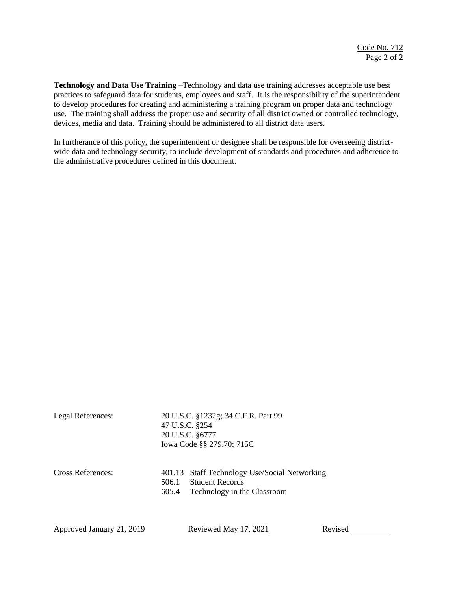**Technology and Data Use Training** –Technology and data use training addresses acceptable use best practices to safeguard data for students, employees and staff. It is the responsibility of the superintendent to develop procedures for creating and administering a training program on proper data and technology use. The training shall address the proper use and security of all district owned or controlled technology, devices, media and data. Training should be administered to all district data users.

In furtherance of this policy, the superintendent or designee shall be responsible for overseeing districtwide data and technology security, to include development of standards and procedures and adherence to the administrative procedures defined in this document.

| Legal References: | 20 U.S.C. §1232g; 34 C.F.R. Part 99<br>47 U.S.C. §254<br>20 U.S.C. §6777<br>Iowa Code §§ 279.70; 715C                    |
|-------------------|--------------------------------------------------------------------------------------------------------------------------|
| Cross References: | 401.13 Staff Technology Use/Social Networking<br><b>Student Records</b><br>506.1<br>Technology in the Classroom<br>605.4 |

Approved January 21, 2019 Reviewed May 17, 2021 Revised